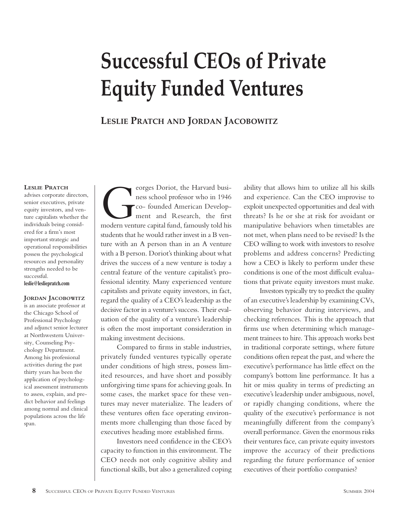# **Successful CEOs of Private Equity Funded Ventures**

# **LESLIE PRATCH AND JORDAN JACOBOWITZ**

#### **LESLIE PRATCH**

advises corporate directors, senior executives, private equity investors, and venture capitalists whether the individuals being considered for a firm's most important strategic and operational responsibilities possess the psychological resources and personality strengths needed to be successful.

# **leslie@lesliepratch.com**

**JORDAN JACOBOWITZ** is an associate professor at the Chicago School of Professional Psychology and adjunct senior lecturer at Northwestern University, Counseling Psychology Department. Among his professional activities during the past thirty years has been the application of psychological assessment instruments to assess, explain, and predict behavior and feelings among normal and clinical populations across the life span.

eorges Doriot, the Harvard business school professor who in 1946<br>co- founded American Development and Research, the first<br>modern venture capital fund, famously told his ness school professor who in 1946 co- founded American Development and Research, the first students that he would rather invest in a B venture with an A person than in an A venture with a B person. Doriot's thinking about what drives the success of a new venture is today a central feature of the venture capitalist's professional identity. Many experienced venture capitalists and private equity investors, in fact, regard the quality of a CEO's leadership as the decisive factor in a venture's success. Their evaluation of the quality of a venture's leadership is often the most important consideration in making investment decisions.

Compared to firms in stable industries, privately funded ventures typically operate under conditions of high stress, possess limited resources, and have short and possibly unforgiving time spans for achieving goals. In some cases, the market space for these ventures may never materialize. The leaders of these ventures often face operating environments more challenging than those faced by executives heading more established firms.

Investors need confidence in the CEO's capacity to function in this environment. The CEO needs not only cognitive ability and functional skills, but also a generalized coping ability that allows him to utilize all his skills and experience. Can the CEO improvise to exploit unexpected opportunities and deal with threats? Is he or she at risk for avoidant or manipulative behaviors when timetables are not met, when plans need to be revised? Is the CEO willing to work with investors to resolve problems and address concerns? Predicting how a CEO is likely to perform under these conditions is one of the most difficult evaluations that private equity investors must make.

Investors typically try to predict the quality of an executive's leadership by examining CVs, observing behavior during interviews, and checking references. This is the approach that firms use when determining which management trainees to hire. This approach works best in traditional corporate settings, where future conditions often repeat the past, and where the executive's performance has little effect on the company's bottom line performance. It has a hit or miss quality in terms of predicting an executive's leadership under ambiguous, novel, or rapidly changing conditions, where the quality of the executive's performance is not meaningfully different from the company's overall performance. Given the enormous risks their ventures face, can private equity investors improve the accuracy of their predictions regarding the future performance of senior executives of their portfolio companies?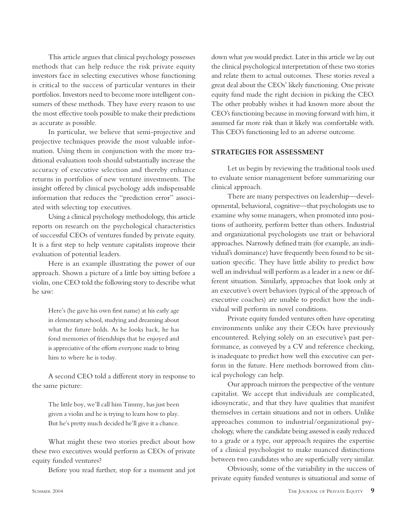This article argues that clinical psychology possesses methods that can help reduce the risk private equity investors face in selecting executives whose functioning is critical to the success of particular ventures in their portfolios. Investors need to become more intelligent consumers of these methods. They have every reason to use the most effective tools possible to make their predictions as accurate as possible.

In particular, we believe that semi-projective and projective techniques provide the most valuable information. Using them in conjunction with the more traditional evaluation tools should substantially increase the accuracy of executive selection and thereby enhance returns in portfolios of new venture investments. The insight offered by clinical psychology adds indispensable information that reduces the "prediction error" associated with selecting top executives.

Using a clinical psychology methodology, this article reports on research on the psychological characteristics of successful CEOs of ventures funded by private equity. It is a first step to help venture capitalists improve their evaluation of potential leaders.

Here is an example illustrating the power of our approach. Shown a picture of a little boy sitting before a violin, one CEO told the following story to describe what he saw:

> Here's (he gave his own first name) at his early age in elementary school, studying and dreaming about what the future holds. As he looks back, he has fond memories of friendships that he enjoyed and is appreciative of the efforts everyone made to bring him to where he is today.

A second CEO told a different story in response to the same picture:

> The little boy, we'll call him Timmy, has just been given a violin and he is trying to learn how to play. But he's pretty much decided he'll give it a chance.

What might these two stories predict about how these two executives would perform as CEOs of private equity funded ventures?

Before you read further, stop for a moment and jot

down what *you* would predict. Later in this article we lay out the clinical psychological interpretation of these two stories and relate them to actual outcomes. These stories reveal a great deal about the CEOs' likely functioning. One private equity fund made the right decision in picking the CEO. The other probably wishes it had known more about the CEO's functioning because in moving forward with him, it assumed far more risk than it likely was comfortable with. This CEO's functioning led to an adverse outcome.

# **STRATEGIES FOR ASSESSMENT**

Let us begin by reviewing the traditional tools used to evaluate senior management before summarizing our clinical approach.

There are many perspectives on leadership—developmental, behavioral, cognitive—that psychologists use to examine why some managers, when promoted into positions of authority, perform better than others. Industrial and organizational psychologists use trait or behavioral approaches. Narrowly defined traits (for example, an individual's dominance) have frequently been found to be situation specific. They have little ability to predict how well an individual will perform as a leader in a new or different situation. Similarly, approaches that look only at an executive's overt behaviors (typical of the approach of executive coaches) are unable to predict how the individual will perform in novel conditions.

Private equity funded ventures often have operating environments unlike any their CEOs have previously encountered. Relying solely on an executive's past performance, as conveyed by a CV and reference checking, is inadequate to predict how well this executive can perform in the future. Here methods borrowed from clinical psychology can help.

Our approach mirrors the perspective of the venture capitalist. We accept that individuals are complicated, idiosyncratic, and that they have qualities that manifest themselves in certain situations and not in others. Unlike approaches common to industrial/organizational psychology, where the candidate being assessed is easily reduced to a grade or a type, our approach requires the expertise of a clinical psychologist to make nuanced distinctions between two candidates who are superficially very similar.

Obviously, some of the variability in the success of private equity funded ventures is situational and some of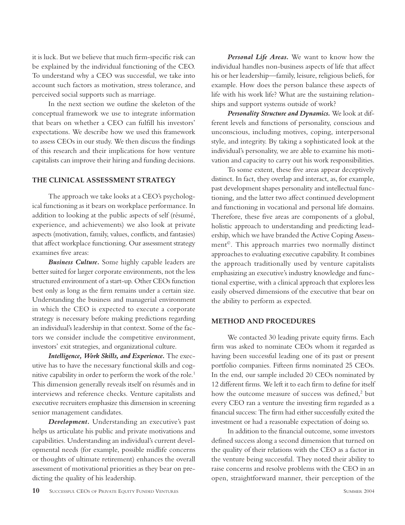it is luck. But we believe that much firm-specific risk can be explained by the individual functioning of the CEO. To understand why a CEO was successful, we take into account such factors as motivation, stress tolerance, and perceived social supports such as marriage.

In the next section we outline the skeleton of the conceptual framework we use to integrate information that bears on whether a CEO can fulfill his investors' expectations. We describe how we used this framework to assess CEOs in our study. We then discuss the findings of this research and their implications for how venture capitalists can improve their hiring and funding decisions.

# **THE CLINICAL ASSESSMENT STRATEGY**

The approach we take looks at a CEO's psychological functioning as it bears on workplace performance. In addition to looking at the public aspects of self (résumé, experience, and achievements) we also look at private aspects (motivation, family, values, conflicts, and fantasies) that affect workplace functioning. Our assessment strategy examines five areas:

*Business Culture.* Some highly capable leaders are better suited for larger corporate environments, not the less structured environment of a start-up. Other CEOs function best only as long as the firm remains under a certain size. Understanding the business and managerial environment in which the CEO is expected to execute a corporate strategy is necessary before making predictions regarding an individual's leadership in that context. Some of the factors we consider include the competitive environment, investors' exit strategies, and organizational culture.

*Intelligence, Work Skills, and Experience.* The executive has to have the necessary functional skills and cognitive capability in order to perform the work of the role.<sup>1</sup> This dimension generally reveals itself on résumés and in interviews and reference checks. Venture capitalists and executive recruiters emphasize this dimension in screening senior management candidates.

*Development.* Understanding an executive's past helps us articulate his public and private motivations and capabilities. Understanding an individual's current developmental needs (for example, possible midlife concerns or thoughts of ultimate retirement) enhances the overall assessment of motivational priorities as they bear on predicting the quality of his leadership.

*Personal Life Areas.* We want to know how the individual handles non-business aspects of life that affect his or her leadership—family, leisure, religious beliefs, for example. How does the person balance these aspects of life with his work life? What are the sustaining relationships and support systems outside of work?

*Personality Structure and Dynamics.* We look at different levels and functions of personality, conscious and unconscious, including motives, coping, interpersonal style, and integrity. By taking a sophisticated look at the individual's personality, we are able to examine his motivation and capacity to carry out his work responsibilities.

To some extent, these five areas appear deceptively distinct. In fact, they overlap and interact, as, for example, past development shapes personality and intellectual functioning, and the latter two affect continued development and functioning in vocational and personal life domains. Therefore, these five areas are components of a global, holistic approach to understanding and predicting leadership, which we have branded the Active Coping Assessment©. This approach marries two normally distinct approaches to evaluating executive capability. It combines the approach traditionally used by venture capitalists emphasizing an executive's industry knowledge and functional expertise, with a clinical approach that explores less easily observed dimensions of the executive that bear on the ability to perform as expected.

# **METHOD AND PROCEDURES**

We contacted 30 leading private equity firms. Each firm was asked to nominate CEOs whom it regarded as having been successful leading one of its past or present portfolio companies. Fifteen firms nominated 25 CEOs. In the end, our sample included 20 CEOs nominated by 12 different firms. We left it to each firm to define for itself how the outcome measure of success was defined,<sup>2</sup> but every CEO ran a venture the investing firm regarded as a financial success: The firm had either successfully exited the investment or had a reasonable expectation of doing so.

In addition to the financial outcome, some investors defined success along a second dimension that turned on the quality of their relations with the CEO as a factor in the venture being successful. They noted their ability to raise concerns and resolve problems with the CEO in an open, straightforward manner, their perception of the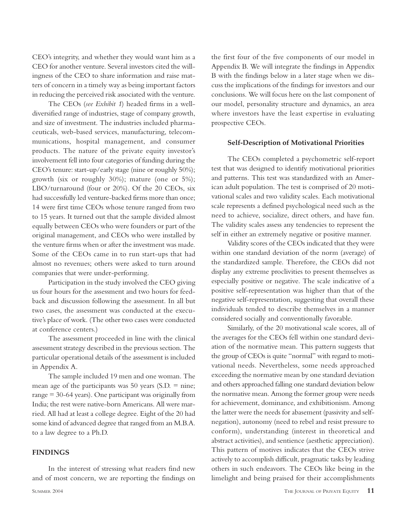CEO's integrity, and whether they would want him as a CEO for another venture. Several investors cited the willingness of the CEO to share information and raise matters of concern in a timely way as being important factors in reducing the perceived risk associated with the venture.

The CEOs (*see Exhibit 1*) headed firms in a welldiversified range of industries, stage of company growth, and size of investment. The industries included pharmaceuticals, web-based services, manufacturing, telecommunications, hospital management, and consumer products. The nature of the private equity investor's involvement fell into four categories of funding during the CEO's tenure: start-up/early stage (nine or roughly 50%); growth (six or roughly 30%); mature (one or 5%); LBO/turnaround (four or 20%). Of the 20 CEOs, six had successfully led venture-backed firms more than once; 14 were first time CEOs whose tenure ranged from two to 15 years. It turned out that the sample divided almost equally between CEOs who were founders or part of the original management, and CEOs who were installed by the venture firms when or after the investment was made. Some of the CEOs came in to run start-ups that had almost no revenues; others were asked to turn around companies that were under-performing.

Participation in the study involved the CEO giving us four hours for the assessment and two hours for feedback and discussion following the assessment. In all but two cases, the assessment was conducted at the executive's place of work. (The other two cases were conducted at conference centers.)

The assessment proceeded in line with the clinical assessment strategy described in the previous section. The particular operational details of the assessment is included in Appendix A.

The sample included 19 men and one woman. The mean age of the participants was 50 years (S.D.  $=$  nine; range  $= 30-64$  years). One participant was originally from India; the rest were native-born Americans. All were married. All had at least a college degree. Eight of the 20 had some kind of advanced degree that ranged from an M.B.A. to a law degree to a Ph.D.

# **FINDINGS**

In the interest of stressing what readers find new and of most concern, we are reporting the findings on

the first four of the five components of our model in Appendix B. We will integrate the findings in Appendix B with the findings below in a later stage when we discuss the implications of the findings for investors and our conclusions. We will focus here on the last component of our model, personality structure and dynamics, an area where investors have the least expertise in evaluating prospective CEOs.

#### **Self-Description of Motivational Priorities**

The CEOs completed a psychometric self-report test that was designed to identify motivational priorities and patterns. This test was standardized with an American adult population. The test is comprised of 20 motivational scales and two validity scales. Each motivational scale represents a defined psychological need such as the need to achieve, socialize, direct others, and have fun. The validity scales assess any tendencies to represent the self in either an extremely negative or positive manner.

Validity scores of the CEOs indicated that they were within one standard deviation of the norm (average) of the standardized sample. Therefore, the CEOs did not display any extreme proclivities to present themselves as especially positive or negative. The scale indicative of a positive self-representation was higher than that of the negative self-representation, suggesting that overall these individuals tended to describe themselves in a manner considered socially and conventionally favorable.

Similarly, of the 20 motivational scale scores, all of the averages for the CEOs fell within one standard deviation of the normative mean. This pattern suggests that the group of CEOs is quite "normal" with regard to motivational needs. Nevertheless, some needs approached exceeding the normative mean by one standard deviation and others approached falling one standard deviation below the normative mean. Among the former group were needs for achievement, dominance, and exhibitionism. Among the latter were the needs for abasement (passivity and selfnegation), autonomy (need to rebel and resist pressure to conform), understanding (interest in theoretical and abstract activities), and sentience (aesthetic appreciation). This pattern of motives indicates that the CEOs strive actively to accomplish difficult, pragmatic tasks by leading others in such endeavors. The CEOs like being in the limelight and being praised for their accomplishments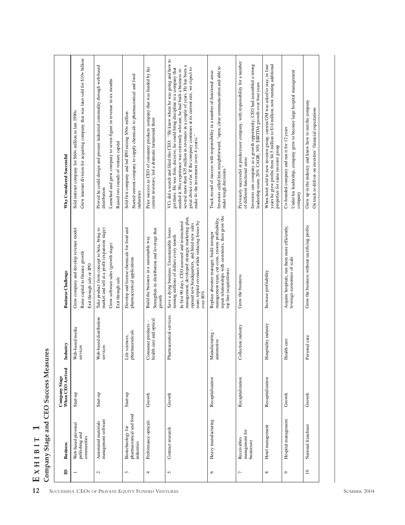| $\blacksquare$ |
|----------------|
| ⊢              |
| Ī              |
| ≏              |
| $\blacksquare$ |
| Ξ              |
| $\Join$        |
| ш              |
|                |

# Company Stage and CEO Success Measures **Company Stage and CEO Success Measures**

- L

| $\mathsf{a}$   | <b>Business</b>                                            | Company Stage<br>When CEO Arrived | <b>Industry</b>                                | <b>Business Challenge</b>                                                                                                                                                                                                                                                                                      | Why Considered Successful                                                                                                                                                                                                                                                                                                                                                                                                                                      |
|----------------|------------------------------------------------------------|-----------------------------------|------------------------------------------------|----------------------------------------------------------------------------------------------------------------------------------------------------------------------------------------------------------------------------------------------------------------------------------------------------------------|----------------------------------------------------------------------------------------------------------------------------------------------------------------------------------------------------------------------------------------------------------------------------------------------------------------------------------------------------------------------------------------------------------------------------------------------------------------|
|                | Web-based personal<br>publishing and<br>communities        | Start-up                          | Web-based media<br>services                    | Grow company and develop revenue model<br>Raise capital to finance growth<br>Exit through sale or IPO                                                                                                                                                                                                          | Grew internet division for acquiring company that was later sold for \$10+ billion<br>Sold internet company for \$60+ million in late 1990s                                                                                                                                                                                                                                                                                                                    |
| $\sim$         | management software<br>Automated materials                 | Start-up                          | Web-based distribution<br>services             | Take product from concept to beta, bring to<br>market and sell at a profit (expansion stage)<br>Grow software sales (growth stage)<br>Exit through sale                                                                                                                                                        | Proved he could design and procure industrial commodity through web-based<br>Launched and grew company to seven-figure in revenue in six months<br>Raised two rounds of venture capital<br>distribution                                                                                                                                                                                                                                                        |
| 3              | pharmaceutical and food<br>Biotechnology for<br>industries | Start-up                          | Life sciences,<br>pharmaceuticals              | Develop and license chemicals for food and<br>pharmaceutical applications                                                                                                                                                                                                                                      | Started current company to supply chemicals to pharmaceutical and food<br>Sold first company and led IPO raising \$50+ million<br>industries                                                                                                                                                                                                                                                                                                                   |
| 4              | Performance opticals                                       | Growth                            | Consumer products -<br>health care and optical | Strengthen its distribution and leverage that<br>Build the business in a sustainable way<br>growth                                                                                                                                                                                                             | Prior success as CEO of consumer products company that was funded by his<br>current investors; led a dramatic turnaround there                                                                                                                                                                                                                                                                                                                                 |
| 5              | Contract research                                          | Growth                            | Pharmaceutical services                        | management, developed strategic marketing plan,<br>team; tripled revenues while reducing losses by<br>In first 90 days, CEO assessed and restructured<br>opened new headquarters, and hired new sales<br>Save a dying business: Unsustainable losses<br>running millions of dollars every month<br>over $80\%$ | S<br>VCs did a search and liked this CEO: "He knew where he was going and how<br>several more than \$35 million in revenues in a couple of years. He has been a<br>get there. He was firm, decisive; he could bring discipline to a company that<br>great choice so far. If the company continues at its current rate, we expect to<br>needed it. His experience was extremely relevant; he had built a business to<br>make 4× the investment (over 4 years)." |
| $\circ$        | Heavy manufacturing                                        | Recapitalization                  | Manufacturing-<br>automotive                   | repair relationships with customers, then grow the<br>management team, cut costs, restore profitability,<br>Replace absentee manager, build stronger<br>top line (acquisitions)                                                                                                                                | Investors called him straightforward, "open, clear communication and able to<br>Track record of success with responsibility in a number of functional areas<br>make tough decisions."                                                                                                                                                                                                                                                                          |
| $\overline{ }$ | management for<br>Receivables<br>businesses                | Recapitalization                  | Collection industry                            | Grow the business                                                                                                                                                                                                                                                                                              | Previously successful at predecessor company, with responsibility for a number<br>Investors saw company as a growth opportunity; CEO had assembled a strong<br>leadership team; 20% CAGR; 30% EBITDA growth over four years<br>of different functional areas                                                                                                                                                                                                   |
| ${}^{\circ}$   | Hotel management                                           | Recapitalization                  | Hospitality industry                           | Increase profitability                                                                                                                                                                                                                                                                                         | years he grew profits from \$4.5 million to \$14 million; now running additional<br>When hotel sold to new investor group, current GM was asked to stay; in four<br>properties for same investor group                                                                                                                                                                                                                                                         |
| $\circ$        | Hospital management                                        | Growth                            | Health care                                    | Acquire hospitals, run them more efficiently,<br>leverage economies of scale                                                                                                                                                                                                                                   | Under his leadership, company grew to become large hospital management<br>Co-founded company and ran it for 12 years<br>company                                                                                                                                                                                                                                                                                                                                |
| $\approx$      | National franchiser                                        | Growth                            | Personal care                                  | Grow the business without sacrificing profits                                                                                                                                                                                                                                                                  | Grew up in the industry and knew how to run the company<br>On track to deliver on investors' financial expectations                                                                                                                                                                                                                                                                                                                                            |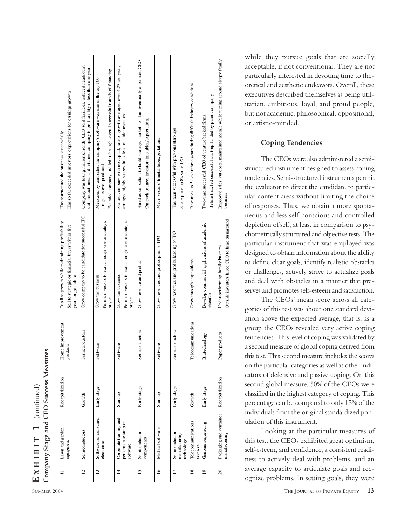| ſ<br>ı  |  |
|---------|--|
| ŀ<br>ł. |  |
| İ       |  |
| ſ       |  |
|         |  |
|         |  |
|         |  |
| I       |  |
| ĺ       |  |

| Has so far exceeded investors' expectations for earnings growth<br>Has restructured the business successfully             | Company was losing millions/month; CEO sold facilities, reduced headcount,<br>cut product lines, and returned company to profitability in less than one year | Founded company and led it through several successful rounds of financing<br>Measured by unit sales, the company's software was one of the top 100<br>programs ever produced | Started company with no capital; rate of growth averaged over 40% per year;<br>arranged highly successful sale to outside investors | Hired as consultant to build strategic marketing plan; eventually appointed CEO<br>On track to meet investor timetables/expectations | Met investors' timetables/expectations | Has been successful with previous start-ups<br>Share price up 8x since IPO | Revenues up 5× over three years during difficult industry conditions | Before that, led successful start-up funded by parent company<br>Two-time successful CEO of venture backed firms | Improved sales, cut costs, maintained morale while turning around sleepy family<br>business |
|---------------------------------------------------------------------------------------------------------------------------|--------------------------------------------------------------------------------------------------------------------------------------------------------------|------------------------------------------------------------------------------------------------------------------------------------------------------------------------------|-------------------------------------------------------------------------------------------------------------------------------------|--------------------------------------------------------------------------------------------------------------------------------------|----------------------------------------|----------------------------------------------------------------------------|----------------------------------------------------------------------|------------------------------------------------------------------------------------------------------------------|---------------------------------------------------------------------------------------------|
| Top line growth while maintaining profitability<br>Sell to strategic or financial buyer within five<br>years or go public | Grow company to be candidate for successful IPO                                                                                                              | Permit investors to exit through sale to strategic<br>Grow the business<br>buyer                                                                                             | Permit investors to exit through sale to strategic<br>Grow the business<br>buyer                                                    | Grow revenue and profits                                                                                                             | Grow revenues and profits prior to IPO | Grow revenues and profits leading to IPO                                   | Grow through acquisitions                                            | Develop commercial applications of academic<br>research                                                          | Outside investors hired CEO to head turnaround<br>Under-performing family business          |
| Home improvement<br>products                                                                                              | Semiconductors                                                                                                                                               | Software                                                                                                                                                                     | Software                                                                                                                            | Semiconductors                                                                                                                       | Software                               | Semiconductors                                                             | Telecommunications                                                   | Biotechnology                                                                                                    | Paper products                                                                              |
| Recapitalization                                                                                                          | Growth                                                                                                                                                       | Early stage                                                                                                                                                                  | Start-up                                                                                                                            | Early stage                                                                                                                          | Start-up                               | Early stage                                                                | Growth                                                               | Early stage                                                                                                      | Recapitalization                                                                            |
| Lawn and garden<br>equipment                                                                                              | Semiconductors                                                                                                                                               | Software for consumer<br>electronics                                                                                                                                         | Corporate training and<br>performance support<br>software                                                                           | Semiconductor<br>components                                                                                                          | Medical software                       | Semiconductor<br>manufacturing<br>technology                               | Telecommunications<br>services                                       | Genome sequencing                                                                                                | Packaging and container<br>manufacturing                                                    |
|                                                                                                                           | $\overline{c}$                                                                                                                                               | $\mathbf{r}$                                                                                                                                                                 | 4                                                                                                                                   | $\overline{15}$                                                                                                                      | $\leq$                                 | Ξ                                                                          | $\overline{18}$                                                      | $\overline{19}$                                                                                                  | $\overline{20}$                                                                             |

SUMMER 2004

while they pursue goals that are socially acceptable, if not conventional. They are not particularly interested in devoting time to theoretical and aesthetic endeavors. Overall, these executives described themselves as being utilitarian, ambitious, loyal, and proud people, but not academic, philosophical, oppositional, or artistic-minded.

# **Coping Tendencies**

The CEOs were also administered a semistructured instrument designed to assess coping tendencies. Semi-structured instruments permit the evaluator to direct the candidate to particular content areas without limiting the choice of responses. Thus, we obtain a more spontaneous and less self-conscious and controlled depiction of self, at least in comparison to psychometrically structured and objective tests. The particular instrument that was employed was designed to obtain information about the ability to define clear goals, identify realistic obstacles or challenges, actively strive to actualize goals and deal with obstacles in a manner that preserves and promotes self-esteem and satisfaction.

The CEOs' mean score across all categories of this test was about one standard deviation above the expected average, that is, as a group the CEOs revealed very active coping tendencies. This level of coping was validated by a second measure of global coping derived from this test. This second measure includes the scores on the particular categories as well as other indicators of defensive and passive coping. On this second global measure, 50% of the CEOs were classified in the highest category of coping. This percentage can be compared to only 15% of the individuals from the original standardized population of this instrument.

Looking at the particular measures of this test, the CEOs exhibited great optimism, self-esteem, and confidence, a consistent readiness to actively deal with problems, and an average capacity to articulate goals and rec ognize problems. In setting goals, they were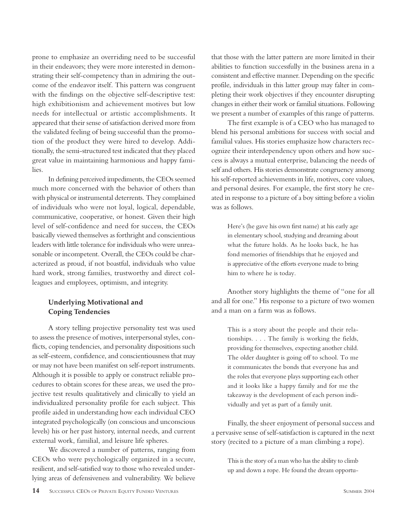prone to emphasize an overriding need to be successful in their endeavors; they were more interested in demonstrating their self-competency than in admiring the outcome of the endeavor itself. This pattern was congruent with the findings on the objective self-descriptive test: high exhibitionism and achievement motives but low needs for intellectual or artistic accomplishments. It appeared that their sense of satisfaction derived more from the validated feeling of being successful than the promotion of the product they were hired to develop. Additionally, the semi-structured test indicated that they placed great value in maintaining harmonious and happy families.

In defining perceived impediments, the CEOs seemed much more concerned with the behavior of others than with physical or instrumental deterrents. They complained of individuals who were not loyal, logical, dependable, communicative, cooperative, or honest. Given their high level of self-confidence and need for success, the CEOs basically viewed themselves as forthright and conscientious leaders with little tolerance for individuals who were unreasonable or incompetent. Overall, the CEOs could be characterized as proud, if not boastful, individuals who value hard work, strong families, trustworthy and direct colleagues and employees, optimism, and integrity.

# **Underlying Motivational and Coping Tendencies**

A story telling projective personality test was used to assess the presence of motives, interpersonal styles, conflicts, coping tendencies, and personality dispositions such as self-esteem, confidence, and conscientiousness that may or may not have been manifest on self-report instruments. Although it is possible to apply or construct reliable procedures to obtain scores for these areas, we used the projective test results qualitatively and clinically to yield an individualized personality profile for each subject. This profile aided in understanding how each individual CEO integrated psychologically (on conscious and unconscious levels) his or her past history, internal needs, and current external work, familial, and leisure life spheres.

We discovered a number of patterns, ranging from CEOs who were psychologically organized in a secure, resilient, and self-satisfied way to those who revealed underlying areas of defensiveness and vulnerability. We believe

that those with the latter pattern are more limited in their abilities to function successfully in the business arena in a consistent and effective manner. Depending on the specific profile, individuals in this latter group may falter in completing their work objectives if they encounter disrupting changes in either their work or familial situations. Following we present a number of examples of this range of patterns.

The first example is of a CEO who has managed to blend his personal ambitions for success with social and familial values. His stories emphasize how characters recognize their interdependency upon others and how success is always a mutual enterprise, balancing the needs of self and others. His stories demonstrate congruency among his self-reported achievements in life, motives, core values, and personal desires. For example, the first story he created in response to a picture of a boy sitting before a violin was as follows.

Here's (he gave his own first name) at his early age in elementary school, studying and dreaming about what the future holds. As he looks back, he has fond memories of friendships that he enjoyed and is appreciative of the efforts everyone made to bring him to where he is today.

Another story highlights the theme of "one for all and all for one." His response to a picture of two women and a man on a farm was as follows.

This is a story about the people and their relationships. . . . The family is working the fields, providing for themselves, expecting another child. The older daughter is going off to school. To me it communicates the bonds that everyone has and the roles that everyone plays supporting each other and it looks like a happy family and for me the takeaway is the development of each person individually and yet as part of a family unit.

Finally, the sheer enjoyment of personal success and a pervasive sense of self-satisfaction is captured in the next story (recited to a picture of a man climbing a rope).

> This is the story of a man who has the ability to climb up and down a rope. He found the dream opportu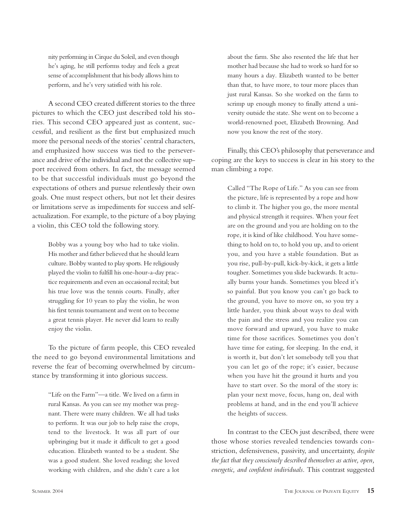nity performing in Cirque du Soleil, and even though he's aging, he still performs today and feels a great sense of accomplishment that his body allows him to perform, and he's very satisfied with his role.

A second CEO created different stories to the three pictures to which the CEO just described told his stories. This second CEO appeared just as content, successful, and resilient as the first but emphasized much more the personal needs of the stories' central characters, and emphasized how success was tied to the perseverance and drive of the individual and not the collective support received from others. In fact, the message seemed to be that successful individuals must go beyond the expectations of others and pursue relentlessly their own goals. One must respect others, but not let their desires or limitations serve as impediments for success and selfactualization. For example, to the picture of a boy playing a violin, this CEO told the following story.

> Bobby was a young boy who had to take violin. His mother and father believed that he should learn culture. Bobby wanted to play sports. He religiously played the violin to fulfill his one-hour-a-day practice requirements and even an occasional recital; but his true love was the tennis courts. Finally, after struggling for 10 years to play the violin, he won his first tennis tournament and went on to become a great tennis player. He never did learn to really enjoy the violin.

To the picture of farm people, this CEO revealed the need to go beyond environmental limitations and reverse the fear of becoming overwhelmed by circumstance by transforming it into glorious success.

> "Life on the Farm"—a title. We lived on a farm in rural Kansas. As you can see my mother was pregnant. There were many children. We all had tasks to perform. It was our job to help raise the crops, tend to the livestock. It was all part of our upbringing but it made it difficult to get a good education. Elizabeth wanted to be a student. She was a good student. She loved reading; she loved working with children, and she didn't care a lot

about the farm. She also resented the life that her mother had because she had to work so hard for so many hours a day. Elizabeth wanted to be better than that, to have more, to tour more places than just rural Kansas. So she worked on the farm to scrimp up enough money to finally attend a university outside the state. She went on to become a world-renowned poet, Elizabeth Browning. And now you know the rest of the story.

Finally, this CEO's philosophy that perseverance and coping are the keys to success is clear in his story to the man climbing a rope.

Called "The Rope of Life." As you can see from the picture, life is represented by a rope and how to climb it. The higher you go, the more mental and physical strength it requires. When your feet are on the ground and you are holding on to the rope, it is kind of like childhood. You have something to hold on to, to hold you up, and to orient you, and you have a stable foundation. But as you rise, pull-by-pull, kick-by-kick, it gets a little tougher. Sometimes you slide backwards. It actually burns your hands. Sometimes you bleed it's so painful. But you know you can't go back to the ground, you have to move on, so you try a little harder, you think about ways to deal with the pain and the stress and you realize you can move forward and upward, you have to make time for those sacrifices. Sometimes you don't have time for eating, for sleeping. In the end, it is worth it, but don't let somebody tell you that you can let go of the rope; it's easier, because when you have hit the ground it hurts and you have to start over. So the moral of the story is: plan your next move, focus, hang on, deal with problems at hand, and in the end you'll achieve the heights of success.

In contrast to the CEOs just described, there were those whose stories revealed tendencies towards constriction, defensiveness, passivity, and uncertainty, *despite the fact that they consciously described themselves as active, open, energetic, and confident individuals*. This contrast suggested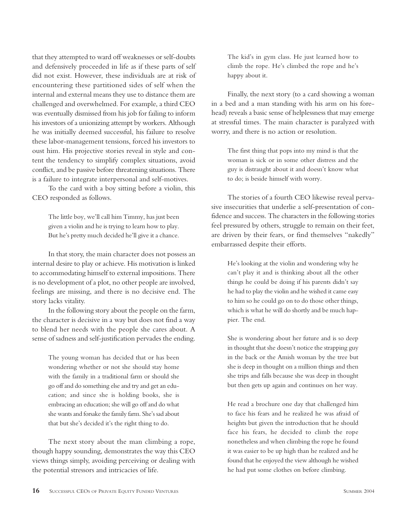that they attempted to ward off weaknesses or self-doubts and defensively proceeded in life as if these parts of self did not exist. However, these individuals are at risk of encountering these partitioned sides of self when the internal and external means they use to distance them are challenged and overwhelmed. For example, a third CEO was eventually dismissed from his job for failing to inform his investors of a unionizing attempt by workers. Although he was initially deemed successful, his failure to resolve these labor-management tensions, forced his investors to oust him. His projective stories reveal in style and content the tendency to simplify complex situations, avoid conflict, and be passive before threatening situations. There is a failure to integrate interpersonal and self-motives.

To the card with a boy sitting before a violin, this CEO responded as follows.

> The little boy, we'll call him Timmy, has just been given a violin and he is trying to learn how to play. But he's pretty much decided he'll give it a chance.

In that story, the main character does not possess an internal desire to play or achieve. His motivation is linked to accommodating himself to external impositions. There is no development of a plot, no other people are involved, feelings are missing, and there is no decisive end. The story lacks vitality.

In the following story about the people on the farm, the character is decisive in a way but does not find a way to blend her needs with the people she cares about. A sense of sadness and self-justification pervades the ending.

> The young woman has decided that or has been wondering whether or not she should stay home with the family in a traditional farm or should she go off and do something else and try and get an education; and since she is holding books, she is embracing an education; she will go off and do what she wants and forsake the family farm. She's sad about that but she's decided it's the right thing to do.

The next story about the man climbing a rope, though happy sounding, demonstrates the way this CEO views things simply, avoiding perceiving or dealing with the potential stressors and intricacies of life.

The kid's in gym class. He just learned how to climb the rope. He's climbed the rope and he's happy about it.

Finally, the next story (to a card showing a woman in a bed and a man standing with his arm on his forehead) reveals a basic sense of helplessness that may emerge at stressful times. The main character is paralyzed with worry, and there is no action or resolution.

The first thing that pops into my mind is that the woman is sick or in some other distress and the guy is distraught about it and doesn't know what to do; is beside himself with worry.

The stories of a fourth CEO likewise reveal pervasive insecurities that underlie a self-presentation of confidence and success. The characters in the following stories feel pressured by others, struggle to remain on their feet, are driven by their fears, or find themselves "nakedly" embarrassed despite their efforts.

> He's looking at the violin and wondering why he can't play it and is thinking about all the other things he could be doing if his parents didn't say he had to play the violin and he wished it came easy to him so he could go on to do those other things, which is what he will do shortly and be much happier. The end.

> She is wondering about her future and is so deep in thought that she doesn't notice the strapping guy in the back or the Amish woman by the tree but she is deep in thought on a million things and then she trips and falls because she was deep in thought but then gets up again and continues on her way.

> He read a brochure one day that challenged him to face his fears and he realized he was afraid of heights but given the introduction that he should face his fears, he decided to climb the rope nonetheless and when climbing the rope he found it was easier to be up high than he realized and he found that he enjoyed the view although he wished he had put some clothes on before climbing.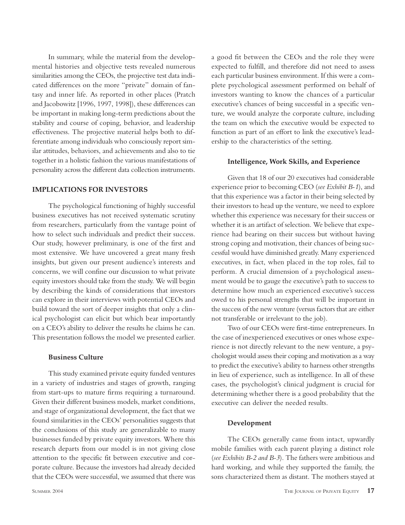In summary, while the material from the developmental histories and objective tests revealed numerous similarities among the CEOs, the projective test data indicated differences on the more "private" domain of fantasy and inner life. As reported in other places (Pratch and Jacobowitz [1996, 1997, 1998]), these differences can be important in making long-term predictions about the stability and course of coping, behavior, and leadership effectiveness. The projective material helps both to differentiate among individuals who consciously report similar attitudes, behaviors, and achievements and also to tie together in a holistic fashion the various manifestations of personality across the different data collection instruments.

# **IMPLICATIONS FOR INVESTORS**

The psychological functioning of highly successful business executives has not received systematic scrutiny from researchers, particularly from the vantage point of how to select such individuals and predict their success. Our study, however preliminary, is one of the first and most extensive. We have uncovered a great many fresh insights, but given our present audience's interests and concerns, we will confine our discussion to what private equity investors should take from the study. We will begin by describing the kinds of considerations that investors can explore in their interviews with potential CEOs and build toward the sort of deeper insights that only a clinical psychologist can elicit but which bear importantly on a CEO's ability to deliver the results he claims he can. This presentation follows the model we presented earlier.

# **Business Culture**

This study examined private equity funded ventures in a variety of industries and stages of growth, ranging from start-ups to mature firms requiring a turnaround. Given their different business models, market conditions, and stage of organizational development, the fact that we found similarities in the CEOs' personalities suggests that the conclusions of this study are generalizable to many businesses funded by private equity investors. Where this research departs from our model is in not giving close attention to the specific fit between executive and corporate culture. Because the investors had already decided that the CEOs were successful, we assumed that there was

a good fit between the CEOs and the role they were expected to fulfill, and therefore did not need to assess each particular business environment. If this were a complete psychological assessment performed on behalf of investors wanting to know the chances of a particular executive's chances of being successful in a specific venture, we would analyze the corporate culture, including the team on which the executive would be expected to function as part of an effort to link the executive's leadership to the characteristics of the setting.

# **Intelligence, Work Skills, and Experience**

Given that 18 of our 20 executives had considerable experience prior to becoming CEO (*see Exhibit B-1*), and that this experience was a factor in their being selected by their investors to head up the venture, we need to explore whether this experience was necessary for their success or whether it is an artifact of selection. We believe that experience had bearing on their success but without having strong coping and motivation, their chances of being successful would have diminished greatly. Many experienced executives, in fact, when placed in the top roles, fail to perform. A crucial dimension of a psychological assessment would be to gauge the executive's path to success to determine how much an experienced executive's success owed to his personal strengths that will be important in the success of the new venture (versus factors that are either not transferable or irrelevant to the job).

Two of our CEOs were first-time entrepreneurs. In the case of inexperienced executives or ones whose experience is not directly relevant to the new venture, a psychologist would assess their coping and motivation as a way to predict the executive's ability to harness other strengths in lieu of experience, such as intelligence. In all of these cases, the psychologist's clinical judgment is crucial for determining whether there is a good probability that the executive can deliver the needed results.

## **Development**

The CEOs generally came from intact, upwardly mobile families with each parent playing a distinct role (*see Exhibits B-2 and B-3*). The fathers were ambitious and hard working, and while they supported the family, the sons characterized them as distant. The mothers stayed at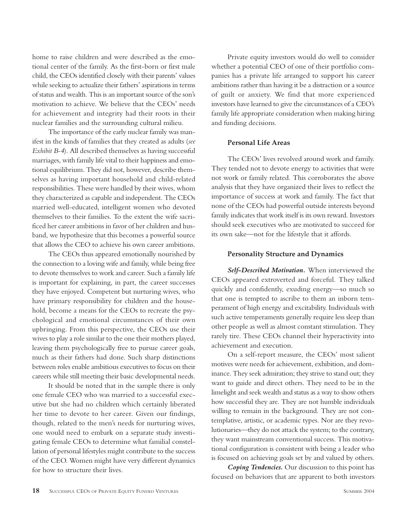home to raise children and were described as the emotional center of the family. As the first-born or first male child, the CEOs identified closely with their parents' values while seeking to actualize their fathers' aspirations in terms of status and wealth. This is an important source of the son's motivation to achieve. We believe that the CEOs' needs for achievement and integrity had their roots in their nuclear families and the surrounding cultural milieu.

The importance of the early nuclear family was manifest in the kinds of families that they created as adults (*see Exhibit B-4*). All described themselves as having successful marriages, with family life vital to their happiness and emotional equilibrium. They did not, however, describe themselves as having important household and child-related responsibilities. These were handled by their wives, whom they characterized as capable and independent. The CEOs married well-educated, intelligent women who devoted themselves to their families. To the extent the wife sacrificed her career ambitions in favor of her children and husband, we hypothesize that this becomes a powerful source that allows the CEO to achieve his own career ambitions.

The CEOs thus appeared emotionally nourished by the connection to a loving wife and family, while being free to devote themselves to work and career. Such a family life is important for explaining, in part, the career successes they have enjoyed. Competent but nurturing wives, who have primary responsibility for children and the household, become a means for the CEOs to recreate the psychological and emotional circumstances of their own upbringing. From this perspective, the CEOs use their wives to play a role similar to the one their mothers played, leaving them psychologically free to pursue career goals, much as their fathers had done. Such sharp distinctions between roles enable ambitious executives to focus on their careers while still meeting their basic developmental needs.

It should be noted that in the sample there is only one female CEO who was married to a successful executive but she had no children which certainly liberated her time to devote to her career. Given our findings, though, related to the men's needs for nurturing wives, one would need to embark on a separate study investigating female CEOs to determine what familial constellation of personal lifestyles might contribute to the success of the CEO. Women might have very different dynamics for how to structure their lives.

Private equity investors would do well to consider whether a potential CEO of one of their portfolio companies has a private life arranged to support his career ambitions rather than having it be a distraction or a source of guilt or anxiety. We find that more experienced investors have learned to give the circumstances of a CEO's family life appropriate consideration when making hiring and funding decisions.

# **Personal Life Areas**

The CEOs' lives revolved around work and family. They tended not to devote energy to activities that were not work or family related. This corroborates the above analysis that they have organized their lives to reflect the importance of success at work and family. The fact that none of the CEOs had powerful outside interests beyond family indicates that work itself is its own reward. Investors should seek executives who are motivated to succeed for its own sake—not for the lifestyle that it affords.

# **Personality Structure and Dynamics**

*Self-Described Motivation.* When interviewed the CEOs appeared extroverted and forceful. They talked quickly and confidently, exuding energy—so much so that one is tempted to ascribe to them an inborn temperament of high energy and excitability. Individuals with such active temperaments generally require less sleep than other people as well as almost constant stimulation. They rarely tire. These CEOs channel their hyperactivity into achievement and execution.

On a self-report measure, the CEOs' most salient motives were needs for achievement, exhibition, and dominance. They seek admiration; they strive to stand out; they want to guide and direct others. They need to be in the limelight and seek wealth and status as a way to show others how successful they are. They are not humble individuals willing to remain in the background. They are not contemplative, artistic, or academic types. Nor are they revolutionaries—they do not attack the system; to the contrary, they want mainstream conventional success. This motivational configuration is consistent with being a leader who is focused on achieving goals set by and valued by others.

*Coping Tendencies.* Our discussion to this point has focused on behaviors that are apparent to both investors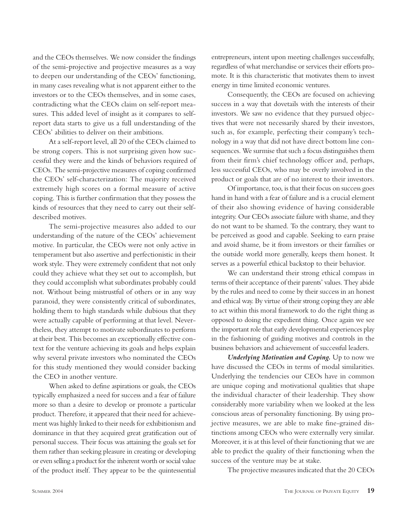and the CEOs themselves. We now consider the findings of the semi-projective and projective measures as a way to deepen our understanding of the CEOs' functioning, in many cases revealing what is not apparent either to the investors or to the CEOs themselves, and in some cases, contradicting what the CEOs claim on self-report measures. This added level of insight as it compares to selfreport data starts to give us a full understanding of the CEOs' abilities to deliver on their ambitions.

At a self-report level, all 20 of the CEOs claimed to be strong copers. This is not surprising given how successful they were and the kinds of behaviors required of CEOs. The semi-projective measures of coping confirmed the CEOs' self-characterization: The majority received extremely high scores on a formal measure of active coping. This is further confirmation that they possess the kinds of resources that they need to carry out their selfdescribed motives.

The semi-projective measures also added to our understanding of the nature of the CEOs' achievement motive. In particular, the CEOs were not only active in temperament but also assertive and perfectionistic in their work style. They were extremely confident that not only could they achieve what they set out to accomplish, but they could accomplish what subordinates probably could not. Without being mistrustful of others or in any way paranoid, they were consistently critical of subordinates, holding them to high standards while dubious that they were actually capable of performing at that level. Nevertheless, they attempt to motivate subordinates to perform at their best. This becomes an exceptionally effective context for the venture achieving its goals and helps explain why several private investors who nominated the CEOs for this study mentioned they would consider backing the CEO in another venture.

When asked to define aspirations or goals, the CEOs typically emphasized a need for success and a fear of failure more so than a desire to develop or promote a particular product. Therefore, it appeared that their need for achievement was highly linked to their needs for exhibitionism and dominance in that they acquired great gratification out of personal success. Their focus was attaining the goals set for them rather than seeking pleasure in creating or developing or even selling a product for the inherent worth or social value of the product itself. They appear to be the quintessential

entrepreneurs, intent upon meeting challenges successfully, regardless of what merchandise or services their efforts promote. It is this characteristic that motivates them to invest energy in time limited economic ventures.

Consequently, the CEOs are focused on achieving success in a way that dovetails with the interests of their investors. We saw no evidence that they pursued objectives that were not necessarily shared by their investors, such as, for example, perfecting their company's technology in a way that did not have direct bottom line consequences. We surmise that such a focus distinguishes them from their firm's chief technology officer and, perhaps, less successful CEOs, who may be overly involved in the product or goals that are of no interest to their investors.

Of importance, too, is that their focus on success goes hand in hand with a fear of failure and is a crucial element of their also showing evidence of having considerable integrity. Our CEOs associate failure with shame, and they do not want to be shamed. To the contrary, they want to be perceived as good and capable. Seeking to earn praise and avoid shame, be it from investors or their families or the outside world more generally, keeps them honest. It serves as a powerful ethical backstop to their behavior.

We can understand their strong ethical compass in terms of their acceptance of their parents' values. They abide by the rules and need to come by their success in an honest and ethical way. By virtue of their strong coping they are able to act within this moral framework to do the right thing as opposed to doing the expedient thing. Once again we see the important role that early developmental experiences play in the fashioning of guiding motives and controls in the business behaviors and achievement of successful leaders.

*Underlying Motivation and Coping.* Up to now we have discussed the CEOs in terms of modal similarities. Underlying the tendencies our CEOs have in common are unique coping and motivational qualities that shape the individual character of their leadership. They show considerably more variability when we looked at the less conscious areas of personality functioning. By using projective measures, we are able to make fine-grained distinctions among CEOs who were externally very similar. Moreover, it is at this level of their functioning that we are able to predict the quality of their functioning when the success of the venture may be at stake.

The projective measures indicated that the 20 CEOs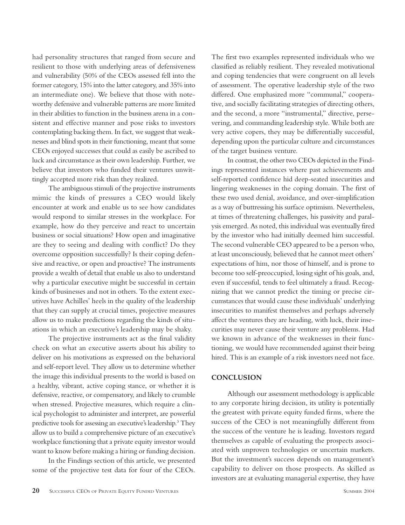had personality structures that ranged from secure and resilient to those with underlying areas of defensiveness and vulnerability (50% of the CEOs assessed fell into the former category, 15% into the latter category, and 35% into an intermediate one). We believe that those with noteworthy defensive and vulnerable patterns are more limited in their abilities to function in the business arena in a consistent and effective manner and pose risks to investors contemplating backing them. In fact, we suggest that weaknesses and blind spots in their functioning, meant that some CEOs enjoyed successes that could as easily be ascribed to luck and circumstance as their own leadership. Further, we believe that investors who funded their ventures unwittingly accepted more risk than they realized.

The ambiguous stimuli of the projective instruments mimic the kinds of pressures a CEO would likely encounter at work and enable us to see how candidates would respond to similar stresses in the workplace. For example, how do they perceive and react to uncertain business or social situations? How open and imaginative are they to seeing and dealing with conflict? Do they overcome opposition successfully? Is their coping defensive and reactive, or open and proactive? The instruments provide a wealth of detail that enable us also to understand why a particular executive might be successful in certain kinds of businesses and not in others. To the extent executives have Achilles' heels in the quality of the leadership that they can supply at crucial times, projective measures allow us to make predictions regarding the kinds of situations in which an executive's leadership may be shaky.

The projective instruments act as the final validity check on what an executive asserts about his ability to deliver on his motivations as expressed on the behavioral and self-report level. They allow us to determine whether the image this individual presents to the world is based on a healthy, vibrant, active coping stance, or whether it is defensive, reactive, or compensatory, and likely to crumble when stressed. Projective measures, which require a clinical psychologist to administer and interpret, are powerful predictive tools for assessing an executive's leadership.3 They allow us to build a comprehensive picture of an executive's workplace functioning that a private equity investor would want to know before making a hiring or funding decision.

In the Findings section of this article, we presented some of the projective test data for four of the CEOs.

classified as reliably resilient. They revealed motivational and coping tendencies that were congruent on all levels of assessment. The operative leadership style of the two differed. One emphasized more "communal," cooperative, and socially facilitating strategies of directing others, and the second, a more "instrumental," directive, persevering, and commanding leadership style. While both are very active copers, they may be differentially successful, depending upon the particular culture and circumstances of the target business venture. In contrast, the other two CEOs depicted in the Find-

The first two examples represented individuals who we

ings represented instances where past achievements and self-reported confidence hid deep-seated insecurities and lingering weaknesses in the coping domain. The first of these two used denial, avoidance, and over-simplification as a way of buttressing his surface optimism. Nevertheless, at times of threatening challenges, his passivity and paralysis emerged. As noted, this individual was eventually fired by the investor who had initially deemed him successful. The second vulnerable CEO appeared to be a person who, at least unconsciously, believed that he cannot meet others' expectations of him, nor those of himself, and is prone to become too self-preoccupied, losing sight of his goals, and, even if successful, tends to feel ultimately a fraud. Recognizing that we cannot predict the timing or precise circumstances that would cause these individuals' underlying insecurities to manifest themselves and perhaps adversely affect the ventures they are heading, with luck, their insecurities may never cause their venture any problems. Had we known in advance of the weaknesses in their functioning, we would have recommended against their being hired. This is an example of a risk investors need not face.

# **CONCLUSION**

Although our assessment methodology is applicable to any corporate hiring decision, its utility is potentially the greatest with private equity funded firms, where the success of the CEO is not meaningfully different from the success of the venture he is leading. Investors regard themselves as capable of evaluating the prospects associated with unproven technologies or uncertain markets. But the investment's success depends on management's capability to deliver on those prospects. As skilled as investors are at evaluating managerial expertise, they have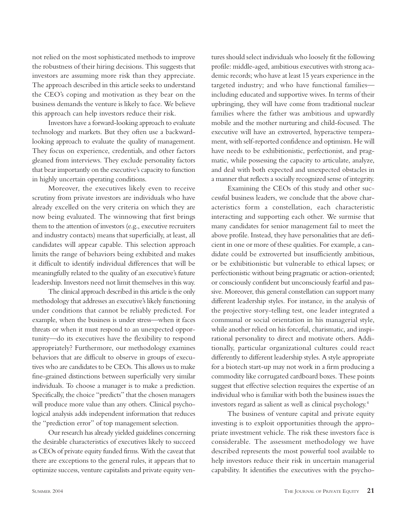not relied on the most sophisticated methods to improve the robustness of their hiring decisions. This suggests that investors are assuming more risk than they appreciate. The approach described in this article seeks to understand the CEO's coping and motivation as they bear on the business demands the venture is likely to face. We believe this approach can help investors reduce their risk.

Investors have a forward-looking approach to evaluate technology and markets. But they often use a backwardlooking approach to evaluate the quality of management. They focus on experience, credentials, and other factors gleaned from interviews. They exclude personality factors that bear importantly on the executive's capacity to function in highly uncertain operating conditions.

Moreover, the executives likely even to receive scrutiny from private investors are individuals who have already excelled on the very criteria on which they are now being evaluated. The winnowing that first brings them to the attention of investors (e.g., executive recruiters and industry contacts) means that superficially, at least, all candidates will appear capable. This selection approach limits the range of behaviors being exhibited and makes it difficult to identify individual differences that will be meaningfully related to the quality of an executive's future leadership. Investors need not limit themselves in this way.

The clinical approach described in this article is the only methodology that addresses an executive's likely functioning under conditions that cannot be reliably predicted. For example, when the business is under stress—when it faces threats or when it must respond to an unexpected opportunity—do its executives have the flexibility to respond appropriately? Furthermore, our methodology examines behaviors that are difficult to observe in groups of executives who are candidates to be CEOs. This allows us to make fine-grained distinctions between superficially very similar individuals. To choose a manager is to make a prediction. Specifically, the choice "predicts" that the chosen managers will produce more value than any others. Clinical psychological analysis adds independent information that reduces the "prediction error" of top management selection.

Our research has already yielded guidelines concerning the desirable characteristics of executives likely to succeed as CEOs of private equity funded firms. With the caveat that there are exceptions to the general rules, it appears that to optimize success, venture capitalists and private equity ventures should select individuals who loosely fit the following profile: middle-aged, ambitious executives with strong academic records; who have at least 15 years experience in the targeted industry; and who have functional families including educated and supportive wives. In terms of their upbringing, they will have come from traditional nuclear families where the father was ambitious and upwardly mobile and the mother nurturing and child-focused. The executive will have an extroverted, hyperactive temperament, with self-reported confidence and optimism. He will have needs to be exhibitionistic, perfectionist, and pragmatic, while possessing the capacity to articulate, analyze, and deal with both expected and unexpected obstacles in a manner that reflects a socially recognized sense of integrity.

Examining the CEOs of this study and other successful business leaders, we conclude that the above characteristics form a constellation, each characteristic interacting and supporting each other. We surmise that many candidates for senior management fail to meet the above profile. Instead, they have personalities that are deficient in one or more of these qualities. For example, a candidate could be extroverted but insufficiently ambitious, or be exhibitionistic but vulnerable to ethical lapses; or perfectionistic without being pragmatic or action-oriented; or consciously confident but unconsciously fearful and passive. Moreover, this general constellation can support many different leadership styles. For instance, in the analysis of the projective story-telling test, one leader integrated a communal or social orientation in his managerial style, while another relied on his forceful, charismatic, and inspirational personality to direct and motivate others. Additionally, particular organizational cultures could react differently to different leadership styles. A style appropriate for a biotech start-up may not work in a firm producing a commodity like corrugated cardboard boxes. These points suggest that effective selection requires the expertise of an individual who is familiar with both the business issues the investors regard as salient as well as clinical psychology.4

The business of venture capital and private equity investing is to exploit opportunities through the appropriate investment vehicle. The risk these investors face is considerable. The assessment methodology we have described represents the most powerful tool available to help investors reduce their risk in uncertain managerial capability. It identifies the executives with the psycho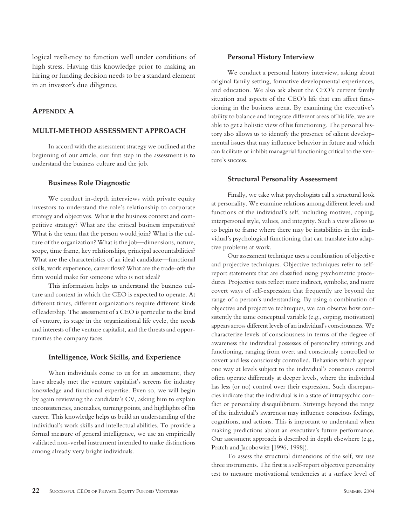logical resiliency to function well under conditions of high stress. Having this knowledge prior to making an hiring or funding decision needs to be a standard element in an investor's due diligence.

# **APPENDIX A**

# **MULTI-METHOD ASSESSMENT APPROACH**

In accord with the assessment strategy we outlined at the beginning of our article, our first step in the assessment is to understand the business culture and the job.

#### **Business Role Diagnostic**

We conduct in-depth interviews with private equity investors to understand the role's relationship to corporate strategy and objectives. What is the business context and competitive strategy? What are the critical business imperatives? What is the team that the person would join? What is the culture of the organization? What is the job—dimensions, nature, scope, time frame, key relationships, principal accountabilities? What are the characteristics of an ideal candidate—functional skills, work experience, career flow? What are the trade-offs the firm would make for someone who is not ideal?

This information helps us understand the business culture and context in which the CEO is expected to operate. At different times, different organizations require different kinds of leadership. The assessment of a CEO is particular to the kind of venture, its stage in the organizational life cycle, the needs and interests of the venture capitalist, and the threats and opportunities the company faces.

# **Intelligence, Work Skills, and Experience**

When individuals come to us for an assessment, they have already met the venture capitalist's screens for industry knowledge and functional expertise. Even so, we will begin by again reviewing the candidate's CV, asking him to explain inconsistencies, anomalies, turning points, and highlights of his career. This knowledge helps us build an understanding of the individual's work skills and intellectual abilities. To provide a formal measure of general intelligence, we use an empirically validated non-verbal instrument intended to make distinctions among already very bright individuals.

# **Personal History Interview**

We conduct a personal history interview, asking about original family setting, formative developmental experiences, and education. We also ask about the CEO's current family situation and aspects of the CEO's life that can affect functioning in the business arena. By examining the executive's ability to balance and integrate different areas of his life, we are able to get a holistic view of his functioning. The personal history also allows us to identify the presence of salient developmental issues that may influence behavior in future and which can facilitate or inhibit managerial functioning critical to the venture's success.

#### **Structural Personality Assessment**

Finally, we take what psychologists call a structural look at personality. We examine relations among different levels and functions of the individual's self, including motives, coping, interpersonal style, values, and integrity. Such a view allows us to begin to frame where there may be instabilities in the individual's psychological functioning that can translate into adaptive problems at work.

Our assessment technique uses a combination of objective and projective techniques. Objective techniques refer to selfreport statements that are classified using psychometric procedures. Projective tests reflect more indirect, symbolic, and more covert ways of self-expression that frequently are beyond the range of a person's understanding. By using a combination of objective and projective techniques, we can observe how consistently the same conceptual variable (e.g., coping, motivation) appears across different levels of an individual's consciousness. We characterize levels of consciousness in terms of the degree of awareness the individual possesses of personality strivings and functioning, ranging from overt and consciously controlled to covert and less consciously controlled. Behaviors which appear one way at levels subject to the individual's conscious control often operate differently at deeper levels, where the individual has less (or no) control over their expression. Such discrepancies indicate that the individual is in a state of intrapsychic conflict or personality disequilibrium. Strivings beyond the range of the individual's awareness may influence conscious feelings, cognitions, and actions. This is important to understand when making predictions about an executive's future performance. Our assessment approach is described in depth elsewhere (e.g., Pratch and Jacobowitz [1996, 1998]).

To assess the structural dimensions of the self, we use three instruments. The first is a self-report objective personality test to measure motivational tendencies at a surface level of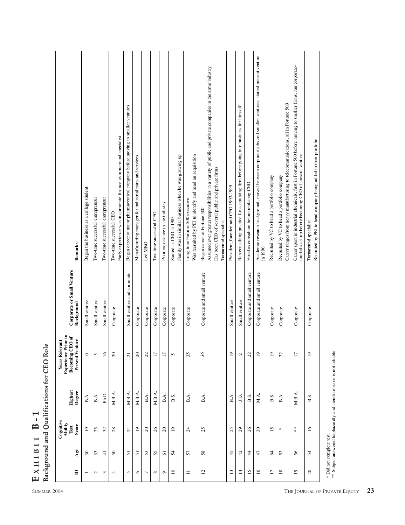| Remarks                                                                                                 | Began the business as a college student | Two-time successful entrepreneur | Two-time successful entrepreneur | Early experience was in corporate finance as turnaround specialist<br>Two-time successful CEO | Began career at major pharmaceutical company before moving to smaller ventures | Manufacturing manager for industrial parts and services | Led MBO        | Two time successful CEO | Prior experience in the industry | Family was in similar business when he was growing up<br>Started as CEO in 1983 | Was recruited by PEI to identify and head an acquisition<br>Long-time Fortune 500 executive | Assumed ever greater responsibilities in a variety of public and private companies in the same industry<br>Has been CEO of several public and private firms<br>Began career at Fortune 500<br>Turnaround specialist | President, founder, and CEO 1993-1999 | Ran consulting practice for accounting firm before going into business for himself | Hired as consultant before replacing CEO | Academic research background; moved between corporate jobs and smaller ventures; started present venture<br>in 1990 | Recruited by VC to head a portfolio company | Career ranges from heavy manufacturing to telecommunications, all in Fortune 500<br>Recruited by VC to head a portfolio company | Career spent in industrial chemicals, first in Fortune 500 before moving to smaller firms; ran corporate-<br>funded start-up before becoming CEO of present venture | Recruited by PEI to head company being added to their portfolio<br>Turnaround specialist |
|---------------------------------------------------------------------------------------------------------|-----------------------------------------|----------------------------------|----------------------------------|-----------------------------------------------------------------------------------------------|--------------------------------------------------------------------------------|---------------------------------------------------------|----------------|-------------------------|----------------------------------|---------------------------------------------------------------------------------|---------------------------------------------------------------------------------------------|---------------------------------------------------------------------------------------------------------------------------------------------------------------------------------------------------------------------|---------------------------------------|------------------------------------------------------------------------------------|------------------------------------------|---------------------------------------------------------------------------------------------------------------------|---------------------------------------------|---------------------------------------------------------------------------------------------------------------------------------|---------------------------------------------------------------------------------------------------------------------------------------------------------------------|------------------------------------------------------------------------------------------|
| Corporate or Small Venture<br>Background                                                                | Small venture                           | Small venture                    | Small venture                    | Corporate                                                                                     | Small venture and corporate                                                    | Corporate                                               | Corporate      | Corporate               | Corporate                        | Corporate                                                                       | Corporate                                                                                   | Corporate and small venture                                                                                                                                                                                         | Small venture                         | Small venture                                                                      | Corporate and small venture              | Corporate and small venture                                                                                         | Corporate                                   | Corporate                                                                                                                       | Corporate                                                                                                                                                           | Corporate                                                                                |
| <b>Experience Prior to</b><br>CEO of<br>enture<br><b>Years Relevant</b><br><b>Becoming</b><br>Present \ | $\circ$                                 | 5                                | $\tilde{=}$                      | ম                                                                                             | ä                                                                              | g                                                       | g              | H                       | Ξ                                | 5                                                                               | æ                                                                                           | $\mathscr{E}$                                                                                                                                                                                                       | ≘                                     | $\sim$                                                                             | g                                        | ≘                                                                                                                   | ≘                                           | g                                                                                                                               | Ξ                                                                                                                                                                   | ≘                                                                                        |
| Highest<br>Degree                                                                                       | B.A.                                    | B.A.                             | Ph.D.                            | M.B.A.                                                                                        | M.B.A.                                                                         | M.B.A.                                                  | B.A.           | M.B.A.                  | B.A.                             | B.S.                                                                            | B.A.                                                                                        | B.A.                                                                                                                                                                                                                | B.A.                                  | J.D.                                                                               | B.S.                                     | M.A.                                                                                                                | B.S.                                        | B.A.                                                                                                                            | M.B.A.                                                                                                                                                              | B.S.                                                                                     |
| Cognitive<br>Ability<br>Score<br>Test                                                                   | $\overline{19}$                         | 25                               | 32                               | 28                                                                                            | $^{24}$                                                                        | $\overline{1}$                                          | $\overline{c}$ | 26                      | $\Omega$                         | $\overline{19}$                                                                 | 24                                                                                          | 25                                                                                                                                                                                                                  | 25                                    | 29                                                                                 | 26                                       | 30                                                                                                                  | $\overline{15}$                             | $\star$                                                                                                                         | $*$                                                                                                                                                                 | $\overline{16}$                                                                          |
| Age                                                                                                     | 80                                      | 33                               | 근                                | $50\,$                                                                                        | ij                                                                             | 5                                                       | 53             | 55                      | 5                                | 54                                                                              | 57                                                                                          | 58                                                                                                                                                                                                                  | 45                                    | A,                                                                                 | 4                                        | A                                                                                                                   | 2                                           | 53                                                                                                                              | 56                                                                                                                                                                  | 54                                                                                       |
| $\mathbf{r}$                                                                                            |                                         | $\mathcal{L}$                    | 3                                | 4                                                                                             | 5                                                                              | $\circ$                                                 | Γ              | $\infty$                | $\circ$                          | $\Xi$                                                                           | $\equiv$                                                                                    | $\overline{c}$                                                                                                                                                                                                      | $\mathbf{r}$                          | 4                                                                                  | 5                                        | $\frac{6}{2}$                                                                                                       | Ξ                                           | $\overline{18}$                                                                                                                 | $\overline{0}$                                                                                                                                                      | $\Omega$                                                                                 |

\* Did not complete test.

\*\* Subject answered haphazardly and therefore score is not reliable.

\* Did not complete test.<br>\*\*\* Subject answered haphazardly and therefore score is not reliable.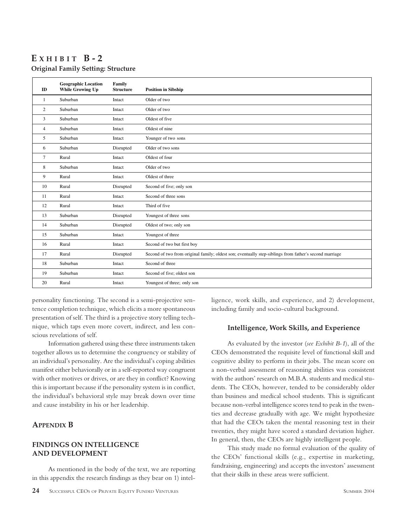# **E XHIBIT B-2 Original Family Setting: Structure**

| ID     | <b>Geographic Location</b><br><b>While Growing Up</b> | Family<br><b>Structure</b> | <b>Position in Sibship</b>                                                                             |
|--------|-------------------------------------------------------|----------------------------|--------------------------------------------------------------------------------------------------------|
| 1      | Suburban                                              | Intact                     | Older of two                                                                                           |
| 2      | Suburban                                              | Intact                     | Older of two                                                                                           |
| 3      | Suburban                                              | Intact                     | Oldest of five                                                                                         |
| 4      | Suburban                                              | Intact                     | Oldest of nine                                                                                         |
| 5      | Suburban                                              | Intact                     | Younger of two sons                                                                                    |
| 6      | Suburban                                              | Disrupted                  | Older of two sons                                                                                      |
| $\tau$ | Rural                                                 | Intact                     | Oldest of four                                                                                         |
| 8      | Suburban                                              | Intact                     | Older of two                                                                                           |
| 9      | Rural                                                 | Intact                     | Oldest of three                                                                                        |
| 10     | Rural                                                 | Disrupted                  | Second of five; only son                                                                               |
| 11     | Rural                                                 | Intact                     | Second of three sons                                                                                   |
| 12     | Rural                                                 | Intact                     | Third of five                                                                                          |
| 13     | Suburban                                              | Disrupted                  | Youngest of three sons                                                                                 |
| 14     | Suburban                                              | Disrupted                  | Oldest of two; only son                                                                                |
| 15     | Suburban                                              | Intact                     | Youngest of three                                                                                      |
| 16     | Rural                                                 | Intact                     | Second of two but first boy                                                                            |
| 17     | Rural                                                 | Disrupted                  | Second of two from original family; oldest son; eventually step-siblings from father's second marriage |
| 18     | Suburban                                              | Intact                     | Second of three                                                                                        |
| 19     | Suburban                                              | Intact                     | Second of five; oldest son                                                                             |
| 20     | Rural                                                 | Intact                     | Youngest of three; only son                                                                            |

personality functioning. The second is a semi-projective sentence completion technique, which elicits a more spontaneous presentation of self. The third is a projective story telling technique, which taps even more covert, indirect, and less conscious revelations of self.

Information gathered using these three instruments taken together allows us to determine the congruency or stability of an individual's personality. Are the individual's coping abilities manifest either behaviorally or in a self-reported way congruent with other motives or drives, or are they in conflict? Knowing this is important because if the personality system is in conflict, the individual's behavioral style may break down over time and cause instability in his or her leadership.

# **APPENDIX B**

# **FINDINGS ON INTELLIGENCE AND DEVELOPMENT**

As mentioned in the body of the text, we are reporting in this appendix the research findings as they bear on 1) intelligence, work skills, and experience, and 2) development, including family and socio-cultural background.

## **Intelligence, Work Skills, and Experience**

As evaluated by the investor (*see Exhibit B-1*), all of the CEOs demonstrated the requisite level of functional skill and cognitive ability to perform in their jobs. The mean score on a non-verbal assessment of reasoning abilities was consistent with the authors' research on M.B.A. students and medical students. The CEOs, however, tended to be considerably older than business and medical school students. This is significant because non-verbal intelligence scores tend to peak in the twenties and decrease gradually with age. We might hypothesize that had the CEOs taken the mental reasoning test in their twenties, they might have scored a standard deviation higher. In general, then, the CEOs are highly intelligent people.

This study made no formal evaluation of the quality of the CEOs' functional skills (e.g., expertise in marketing, fundraising, engineering) and accepts the investors' assessment that their skills in these areas were sufficient.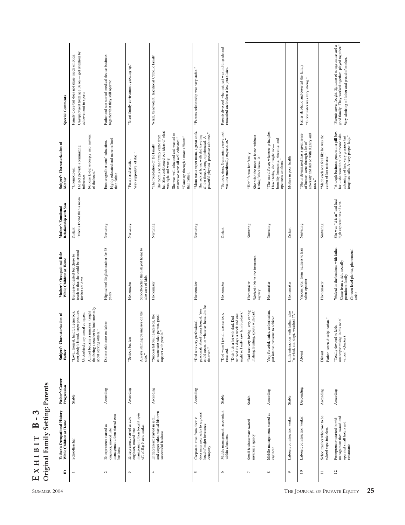E X H I B I T B - 3<br>Original Family Setting: Parents **XHIBIT B-3 Original Family Setting: Parents**

| ₿            | Father's Occupational History<br>While Children at Home                                                          | Father's Career<br>Progression | Subject's Characterization of<br>Father                                                                                                                                                                           | Mother's Occupational Role<br>While Children at Home                                    | Relationship with Son<br>Mother's Emotional | Subject's Characterization of<br>Mother                                                                                                                                                                                                                                | Special Co                              |
|--------------|------------------------------------------------------------------------------------------------------------------|--------------------------------|-------------------------------------------------------------------------------------------------------------------------------------------------------------------------------------------------------------------|-----------------------------------------------------------------------------------------|---------------------------------------------|------------------------------------------------------------------------------------------------------------------------------------------------------------------------------------------------------------------------------------------------------------------------|-----------------------------------------|
|              | Schoolteacher                                                                                                    | Stable                         | that being a teacher is fundamentally<br>everybody's friend, super positive.<br>'Loyal, honest, helpful, generous,<br>Almost became a minister; taught<br>Undoubtedly my moral compass.<br>about serving others." | teach so that she could be around<br>Business-oriented but chose to<br>for her children | "More a friend than a mom"<br>Distant       | Not one to delve deeply into matters<br>Did not provide a feminizing<br>'Unemotional.<br>of the heart."<br>nfluence.                                                                                                                                                   | Family clos<br>Unsupervis<br>achievemer |
| $\mathbf{c}$ | management, then started own<br>Entrepreneur: started as<br>engineer, moved into<br>business                     | Ascending                      | Did not elaborate on father.                                                                                                                                                                                      | High school English teacher for 38<br>years                                             | Nurturing                                   | Highly educated and more refined<br>Encouraged her sons' education.<br>than father                                                                                                                                                                                     | together tha<br>Father and              |
| 3            | management, then bought spin<br>Entrepreneur: started as auto<br>off of Big 3 auto maker<br>engineer, moved into | Ascending                      | Always starting businesses on the<br>"Serious but fun.<br>side."                                                                                                                                                  | Schoolteacher then stayed home to<br>take care of kids<br>Homemaker                     | Nurturing                                   | Very supportive of dad."<br>'Funny and artistic.                                                                                                                                                                                                                       | 'Great fam                              |
| 4            | and carpet sales; started his own<br>Entrepreneur: started in retail<br>successful business                      | Ascending                      | 'Successful businessperson, the<br>consummate sales person, good<br>rapport with people."                                                                                                                         | Homemaker                                                                               | Nunturing                                   | her. She conditioned our ideas of what<br>She was well educated and wanted to<br>The morals of the family came from<br>"Came up through a more affluent"<br>ensure we were all well educated."<br>The foundation of the family.<br>was right and wrong<br>than father. | Warm, ben                               |
| 5            | door insurance sales to regional<br>Corporate: rose from door to<br>head of major insurance<br>company           | Ascending                      | could count on whatever he said to be<br>passionate about being honest. You<br>"Dad was very professional,<br>the truth."                                                                                         | Homemaker                                                                               | Nurturing                                   | 'Mom was a super mom, a great cook.<br>powerful physical presence at home."<br>The rock at home with dad traveling<br>all the time. Strong, opinionated. A                                                                                                             | "Parents re                             |
| $\circ$      | Middle management: accountant<br>within a husiness                                                               | Stable                         | "Dad wasn't jovial; was serious,<br>recented                                                                                                                                                                      | Homemaker                                                                               | Distant                                     | "Serious, stern, Germanic reserve; not<br>warm or emotionally expressive "                                                                                                                                                                                             | Parents div<br>remarried e              |

SUMMER 2004

 $\overline{\Gamma}$ 

| 白              | While Children at Home                                                                                           | Progression | Father                                                                                                                                                                                                               | While Children at Home                                                                                                              | Relationship with Son                                 | Mother                                                                                                                                                                                                                                                                  | <b>Special Comments</b>                                                                                                                                 |
|----------------|------------------------------------------------------------------------------------------------------------------|-------------|----------------------------------------------------------------------------------------------------------------------------------------------------------------------------------------------------------------------|-------------------------------------------------------------------------------------------------------------------------------------|-------------------------------------------------------|-------------------------------------------------------------------------------------------------------------------------------------------------------------------------------------------------------------------------------------------------------------------------|---------------------------------------------------------------------------------------------------------------------------------------------------------|
|                | Schoolteacher                                                                                                    | Stable      | that being a teacher is fundamentally<br>everybody's friend, super positive.<br>"Loyal, honest, helpful, generous,<br>Almost became a minister; taught<br>my moral compass.<br>about serving others."<br>Undoubtedly | teach so that she could be around<br>for her children<br>Business-oriented but chose to                                             | "More a friend than a mom"<br>Distant                 | Not one to delve deeply into matters<br>of the heart."<br>Did not provide a feminizing<br>"Unemotional<br>influence.                                                                                                                                                    | Unsupervised from age 16 on $-$ got attention by<br>achievement in sports<br>Family close but does not share much emotion.                              |
| $\mathbf{c}$   | management, then started own<br>Entrepreneur: started as<br>engineer, moved into<br>business                     | Ascending   | Did not elaborate on father.                                                                                                                                                                                         | High school English teacher for 38<br>years                                                                                         | Nurturing                                             | Highly educated and more refined<br>Encouraged her sons' education.<br>than father                                                                                                                                                                                      | Father and son started medical device business<br>together that they still operate                                                                      |
| $\omega$       | engineer, moved into<br>management, then bought spin<br>off of Big 3 auto maker<br>Entrepreneur: started as auto | Ascending   | Always starting businesses on the side."<br>fun.<br>"Serious but                                                                                                                                                     | Schoolteacher then stayed home to<br>take care of kids<br>Homemake                                                                  | Nurturing                                             | Very supportive of dad."<br>"Funny and artistic.                                                                                                                                                                                                                        | "Great family environment growing up."                                                                                                                  |
| 4              | and carpet sales; started his own<br>Entrepreneur: started in retail<br>successful business                      | Ascending   | "Successful businessperson, the<br>consummate sales person, good<br>rapport with people."                                                                                                                            | Homemake                                                                                                                            | Nurturing                                             | her. She conditioned our ideas of what<br>She was well educated and wanted to<br>The morals of the family came from<br>"Came up through a more affluent"<br>ensure we were all well educated."<br>"The foundation of the family.<br>was right and wrong<br>than father. | Warm, benevolent, traditional Catholic family                                                                                                           |
| 5              | door insurance sales to regional<br>Corporate: rose from door to<br>head of major insurance<br>company           | Ascending   | could count on whatever he said to be<br>passionate about being honest. You<br>"Dad was very professional,<br>the truth."                                                                                            | Homemaker                                                                                                                           | Nunturing                                             | "Mom was a super mom, a great cook.<br>The rock at home with dad traveling<br>powerful physical presence at home."<br>all the time. Strong, opinionated. A                                                                                                              | "Parents relationship was very stable."                                                                                                                 |
| $\circ$        | Middle management: accountant<br>within a business                                                               | Stable      | worked six days a week and one<br>night so I only saw him Sundays."<br>"Dad wasn't jovial; was serious,<br>lot with dad. Dad<br>"Didn't do a<br>reserved.                                                            | Homemaker                                                                                                                           | Distant                                               | "Serious, stern, Germanic reserve; not<br>warm or emotionally expressive."                                                                                                                                                                                              | Parents divorced when subject was in 5th grade and<br>remarried each other a few years later.                                                           |
| $\overline{ }$ | Small businessman: owned<br>insurance agency                                                                     | Stable      | "Dad was very loving, very caring.<br>Fishing, hunting, sports with dad."                                                                                                                                            | Worked a bit in the insurance<br>Homemaker<br>agency.                                                                               | Nurturing                                             | She ruled the roost at home without<br>letting father know it."<br>"Her life was her family.                                                                                                                                                                            |                                                                                                                                                         |
| $\infty$       | Middle management: started as<br>engineer                                                                        | Ascending   | Very forceful, strict, authoritarian,<br>put intense pressure to achieve                                                                                                                                             | Homemaker                                                                                                                           | Nurturing                                             | "The moral force; whatever principles<br>I have today, she taught me—<br>humility, humanity, sincerity, and<br>openness to others."                                                                                                                                     |                                                                                                                                                         |
| $\circ$        | Laborer: construction worker                                                                                     | Stable      | tion with father, who<br>slept, watched TV."<br>Little interacti<br>"worked, ate,                                                                                                                                    | Homemaker                                                                                                                           | Distant                                               | Mother in poor health                                                                                                                                                                                                                                                   |                                                                                                                                                         |
| $\overline{a}$ | Laborer: construction worker                                                                                     | Descending  | Absent                                                                                                                                                                                                               | Various jobs, from waitress to hair<br>salon operator                                                                               | Nurturing                                             | "She is determined, has a great sense<br>of humor, went through a lot of<br>adversity and did so with dignity and<br>grace."                                                                                                                                            | Father alcoholic and deserted the family<br>"Oldest sister was very strong."                                                                            |
| $\equiv$       | Schoolteacher who rose to be<br>school superintendent                                                            | Ascending   | Father "stern, disciplinarian."<br>Distant                                                                                                                                                                           | Homemaker                                                                                                                           | Nurturing                                             | "Made each son feel like he was the<br>center of her universe."                                                                                                                                                                                                         |                                                                                                                                                         |
| 7              | management then owned and<br>Entrepreneur: started in mid-<br>operated small hotels and<br>restaurants           | Ascending   | uncompromising in his moral<br>values" (Quaker).<br>"Totally devoted to kids,                                                                                                                                        | Worked in the business with father<br>Concert level pianist, phenomenal<br>Came from a rich, socially<br>prominent family<br>artist | She was "driven" and had<br>high expectations of son. | "A tough business person in a pill box<br>hat - she would not let someone take<br>advantage of her, very gracious but<br>tough as nails. A very proper lady."                                                                                                           | "Parents never fought. Epitome of compromise and a good family. They worked together, played together."<br>Very admiring of father and proud of mother. |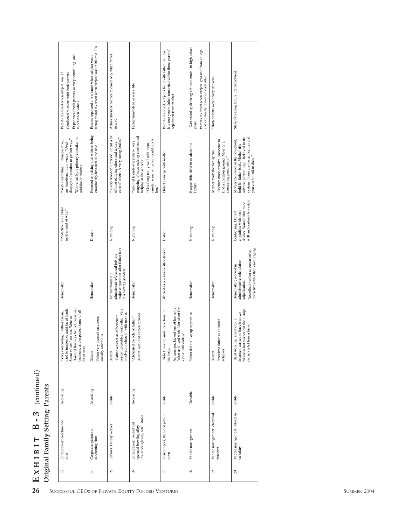| г<br>١<br>r |
|-------------|
| ≃           |
| $\vdash$    |
| ì<br>p<br>נ |
| ŗ           |
| ゝ           |
|             |
|             |

| Experienced both parents as very controlling and<br>Parents divorced when subject was 17.<br>Conflicted relations with both parents.<br>rejects their values                                           | teenager and divorced when subject was in his mid-20s.<br>Parents separated a few times when subject was a | Achievement of mother released only when father<br>injured                                                            | Father uninvolved in son's life                                                                                                                                                            | late teen years; father remarried within three years of<br>Parents divorced; subjects lived with father until his<br>separation from mother               | "Dad ended up drinking a bit too much" in high school<br>Parents divorced when subject gradated from college<br>and eventually remarried each other<br>years | "Both parents were heavy drinkers."                                                                                             | Stern but caring family life. Structured.                                                                                                                                              |
|--------------------------------------------------------------------------------------------------------------------------------------------------------------------------------------------------------|------------------------------------------------------------------------------------------------------------|-----------------------------------------------------------------------------------------------------------------------|--------------------------------------------------------------------------------------------------------------------------------------------------------------------------------------------|-----------------------------------------------------------------------------------------------------------------------------------------------------------|--------------------------------------------------------------------------------------------------------------------------------------------------------------|---------------------------------------------------------------------------------------------------------------------------------|----------------------------------------------------------------------------------------------------------------------------------------------------------------------------------------|
| Was raised by a primary caretaker in<br>displays of emotion to get her way."<br>"Very controlling," "manipulative,"<br>an "emotional train wreck. "Used<br>addition to mother.                         | Focused on raising kids without being<br>emotionally invested in the role                                  | "A very wonderful person. Spent a lot<br>care of others. A very strong leader."<br>of time edifying others and taking | outgoing, always making cookies and<br>helping at the schools."<br>similar sense of humor, could talk to<br>her."<br>'She had friends everywhere, very<br>"Got along really well with mom, | Didn't grow up with mother                                                                                                                                | Responsible child in an alcoholic<br>family                                                                                                                  | "Mother more creative, someone to<br>find a common ground. More of a<br>Mother made the family run.<br>counseling personality." | adverse (controlling). Believed in the<br>system, "these are the authorities and<br>Mother the power in the household,<br>held his father back. Mother risk<br>you conformed to them." |
| "Protective in a Jewish<br>mother kind of way."                                                                                                                                                        | Distant                                                                                                    | Nurturing                                                                                                             | Nurturing                                                                                                                                                                                  | Distant                                                                                                                                                   | Nurturing                                                                                                                                                    | Nurturing                                                                                                                       | well and conform to system<br>desires. Wanted him to do<br>empathize with son s<br>Controlling. Did not                                                                                |
| Homemaker                                                                                                                                                                                              | Homemaker                                                                                                  | major corporation after father hurt<br>administrative/clerical job in a<br>in a hunting accident<br>Mother worked in  | Homemaker                                                                                                                                                                                  | Worked as a waitress after divorce                                                                                                                        | Homemaker                                                                                                                                                    | Homemaker                                                                                                                       | restrictive rather than encouraging<br>Described mother as constrictive,<br>administrative role, claims<br>Homemaker; worked in<br>adjudication.                                       |
| Harvard Business School, went into<br>tried to impose straight laced Eagle<br>business, and expected same of all<br>"Very controlling," authoritarian,<br>Scout values" on son. Went to<br>three sons. | Father very focused on career,<br>socially ambitious<br>Distant                                            | person. Incredible work ethic. Very<br>involved in church" with mother.<br>"Father was not an affectionate<br>Distant | Distant, self- and career-focused<br>"Abdicated the role of father."                                                                                                                       | lived with older sister for<br>As teenager, kicked out of house by<br>Didn t have an ambitious bone in<br>a year until college<br>father and<br>his body. | not live up to promise<br>Father did                                                                                                                         | Perceived father as an under-<br>achiever<br>Distant                                                                            | business but mother put the clamps<br>dreamer, wanted to have his own<br>Hard working, ambitious, a<br>let him achieve.<br>on, never                                                   |
| Ascending                                                                                                                                                                                              | Ascending                                                                                                  | Stable                                                                                                                | Ascending                                                                                                                                                                                  | Stable                                                                                                                                                    | Unstable                                                                                                                                                     | Stable                                                                                                                          | Stable                                                                                                                                                                                 |
| Entrepreneur: machine tool<br>sales                                                                                                                                                                    | Corporate: partner at<br>accounting firm                                                                   | Laborer: factory worker                                                                                               | insurance agency, retail stores<br>Entrepreneur: owned and<br>operated bowling alley,                                                                                                      | Sharecropper, then odd jobs in<br>town                                                                                                                    | Middle management                                                                                                                                            | Middle management: electrical<br>engineer                                                                                       | Middle management: salesman<br>on salary                                                                                                                                               |
| 13                                                                                                                                                                                                     | $\overline{4}$                                                                                             | $\overline{15}$                                                                                                       | $\overline{16}$                                                                                                                                                                            | 17                                                                                                                                                        | $\overline{18}$                                                                                                                                              | $\overline{0}$                                                                                                                  | $\approx$                                                                                                                                                                              |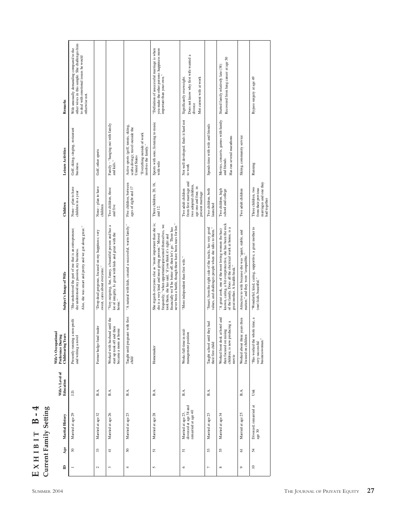| EXHIBIT        |                   | $B - 4$                                                             |                              |                                                                                                          |                                                                                                                                                                                                                                                                                                                                                                 |                                                                                                                     |                                                                                                                                                           |                                                                                                                                                        |
|----------------|-------------------|---------------------------------------------------------------------|------------------------------|----------------------------------------------------------------------------------------------------------|-----------------------------------------------------------------------------------------------------------------------------------------------------------------------------------------------------------------------------------------------------------------------------------------------------------------------------------------------------------------|---------------------------------------------------------------------------------------------------------------------|-----------------------------------------------------------------------------------------------------------------------------------------------------------|--------------------------------------------------------------------------------------------------------------------------------------------------------|
|                |                   | <b>Current Family Setting</b>                                       |                              |                                                                                                          |                                                                                                                                                                                                                                                                                                                                                                 |                                                                                                                     |                                                                                                                                                           |                                                                                                                                                        |
| $\mathbf{a}$   | Age               | <b>Marital History</b>                                              | Wife's Level of<br>Education | Wife's Occupational<br>Preference During<br>Childrearing Years                                           | Subject's Image of Wife                                                                                                                                                                                                                                                                                                                                         | Children                                                                                                            | Leisure Activities                                                                                                                                        | Remarks                                                                                                                                                |
|                | R                 | Married at age 29                                                   | Ë,                           | Presently running a non-profit<br>and writing a novel                                                    | Also, she was smart and pretty and we got along great."<br>"She understood the part of me that is an entrepreneur,<br>she understood my passion, my business.                                                                                                                                                                                                   | None-plan to have<br>children in a year                                                                             | Golf, skiing, singing, restaurant<br>business                                                                                                             | other wives in this sample. She challenges him<br>Wife unusually demanding compared to the<br>to deal with emotional issues he would<br>otherwise not. |
| $\mathbf{c}$   | 33                | Married at age 32                                                   | B.A.                         | ind trader<br>Former hedge fr                                                                            | "Drop dead gorgeous, focused on my happiness; very<br>sweet, cares about everyone."                                                                                                                                                                                                                                                                             | None-plan to have<br>children                                                                                       | Golf, other sports                                                                                                                                        |                                                                                                                                                        |
| 3              | $\pm$             | Married at age 26                                                   | B.A.                         | Worked with husband until the<br>and then<br>became a mom at home<br>start up took off                   | "Very outgoing, fun, funny, a beautiful person and has a<br>lot of integrity. Is great with kids and great with the<br>home."                                                                                                                                                                                                                                   | Two children, three<br>and five                                                                                     | Family $-$ "hanging out with family and kids."                                                                                                            |                                                                                                                                                        |
| Ħ              | $\boldsymbol{50}$ | Married at age 23                                                   | B.A.                         | Taught until pregnant with first<br>child                                                                | "A natural with kids, created a successful, warm family."                                                                                                                                                                                                                                                                                                       | Five children, between<br>ages of eight and 17                                                                      | Active sports (golf, tennis, skiing,<br>scuba diving); travel outside the<br>"Everything outside of work<br>involves the family."<br><b>United States</b> |                                                                                                                                                        |
| $\mathbf{r}$   | 51                | Married at age 28                                                   | B.A.                         | Homemaker                                                                                                | She regards everyone else as "more important than she is;<br>never been a battle, though there have been tears for her."<br>frequently; "when opportunitiespresented themselves, we<br>financially we'll be better off, then let's go.' There has<br>she is a very kind and most giving person." Moved<br>took them, she has said, 'if you think it's right and | Three children, 20, 16,<br>and $12$ .                                                                               | Sports with sons; listening to music<br>with wife                                                                                                         | you make the other persons happiness more<br>important than your own."<br>"Definition of asuccessful marriage is when                                  |
| $\circ$        | 51                | divorced at age 38 and<br>remarried at age 40<br>Married at age 23, | B.A.                         | in mid-<br>management position<br>Works full-time                                                        | "More independent than first wife."                                                                                                                                                                                                                                                                                                                             | from first marriage and<br>two adopted children,<br>age one and four, in<br>present marriage<br>I'wo adult children | Not well developed; finds it hard not to work                                                                                                             | Does not know why first wife wanted a<br>Significantly overweight.<br>Met current wife at work<br>divorce                                              |
| $\overline{ }$ | 53                | Married at age 23                                                   | B.A.                         | Taught school until they had<br>their first child                                                        | "Smart, from the right side of the tracks, has very good<br>values, and challenges people when she talks to them."                                                                                                                                                                                                                                              | Two children, both<br>launched                                                                                      | Spends time with wife and friends                                                                                                                         |                                                                                                                                                        |
| $\infty$       | 55                | Married at age 34                                                   |                              | Worked front desk at hotel and<br>producing a<br>raising<br>then focused on<br>children; is now<br>movie | known, caring, a bit overprotective, she has been the rock<br>of the family. Does all the electrical work at home, is a<br>"A great cook, one of the most loving women (he has)<br>great mother. A health freak."                                                                                                                                               | Two children, high<br>school and college                                                                            | Movies, concerts, games with family<br>Has run several marathons<br>and friends                                                                           | Recovered from lung cancer at age 50<br>Started family relatively late (38)                                                                            |
| $\circ$        | 5                 | Married at age 25                                                   | B.A.                         | hree years then<br>focused on children<br>Worked about tl                                                | Attractive to wife because she was "quiet, stable, and mature," and they were "compatible."                                                                                                                                                                                                                                                                     | Two adult children                                                                                                  | Skiing, community service                                                                                                                                 |                                                                                                                                                        |
| $\overline{a}$ | 24                | Divorced; remarried at<br>age 30                                    | Ŭnk                          | 'Has worked the whole time, a<br>very successful<br>businesswoman."                                      | "Wonderful, kind, caring, supportive, a great mother to (our) kids, beautiful."                                                                                                                                                                                                                                                                                 | marriages and one they<br>had together<br>Three children, two<br>from their previous                                | Running                                                                                                                                                   | Bypass surgery at age 49                                                                                                                               |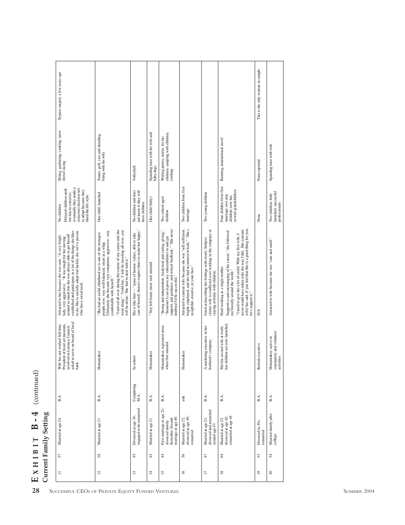| t                |
|------------------|
| ٠                |
| R                |
| E<br>۰<br>F<br>ŧ |
| R                |
| F                |
| Ξ                |
| ≺                |
| ╛<br>ı           |
| 28               |

| נ             | Setting        |
|---------------|----------------|
| 4<br>ť        | Current Family |
| י<br>י<br>į   |                |
| $\frac{1}{1}$ |                |

| SUCCESSFUL CEOS OF PRIVATE EQUITY FUNDED VENTURES |
|---------------------------------------------------|
|---------------------------------------------------|

| Bypass surgery a few years ago                                                                                                                                                                                                                                                                                                 |                                                                                                                                                                                                                                                                                                                                                                               |                                                                                                                        |                                              |                                                                                                                                                                                                             |                                                                                                                                                                   |                                                                                                                                                   |                                                                                                                                                                                                                                                                                                                                                | This is the only woman in sample |                                                               |
|--------------------------------------------------------------------------------------------------------------------------------------------------------------------------------------------------------------------------------------------------------------------------------------------------------------------------------|-------------------------------------------------------------------------------------------------------------------------------------------------------------------------------------------------------------------------------------------------------------------------------------------------------------------------------------------------------------------------------|------------------------------------------------------------------------------------------------------------------------|----------------------------------------------|-------------------------------------------------------------------------------------------------------------------------------------------------------------------------------------------------------------|-------------------------------------------------------------------------------------------------------------------------------------------------------------------|---------------------------------------------------------------------------------------------------------------------------------------------------|------------------------------------------------------------------------------------------------------------------------------------------------------------------------------------------------------------------------------------------------------------------------------------------------------------------------------------------------|----------------------------------|---------------------------------------------------------------|
| Skiing, gardening, cooking, snow<br>shovel racing                                                                                                                                                                                                                                                                              | Tennis, golf, cars and detailing,<br>being with his wife                                                                                                                                                                                                                                                                                                                      | Volleyball                                                                                                             | Spending time with his wife and<br>baby dogs | children, camping with children,<br>Writing poetry, stories for his<br>cooking                                                                                                                              |                                                                                                                                                                   |                                                                                                                                                   | Running, international travel                                                                                                                                                                                                                                                                                                                  | None reported                    | Spending time with wife                                       |
| eventually they made a<br>conscious decision not<br>Delayed children until<br>to adopt because they<br>too late to conceive;<br>liked the life style.<br>No children.                                                                                                                                                          | One child, launched                                                                                                                                                                                                                                                                                                                                                           | No children and does<br>not know if they will<br>have children                                                         | One child (baby)                             | Two school aged<br>children                                                                                                                                                                                 | Two children from first<br>marriage                                                                                                                               | Two young children                                                                                                                                | Four children from first<br>several grandchildren<br>marriage; two step<br>children; now has                                                                                                                                                                                                                                                   | None                             | launched, successful<br>Two children, both<br>professionals   |
| established and participate in a lot of the things she likes<br>to do. She is socially adept but luckily she isn't a person<br>who has a social need.<br>around so much but she was always able to get herself<br>Attracted to her because she was cute. "A very bright<br>lady, very aggressive. "It was tough for her moving | "I moved all over during the course of my career and she<br>went along." "I told her, 'I will be traveling all over, you<br>Ultimately she became very competent, aggressive, very<br>'She had an awful childhood yet is one of the strongest<br>people ever, very well balanced, smart as a whip.<br>will be alone.' She had to deal with it."<br>comfortable with herself." | care of herself, doesn't require (him) to make her happy."<br>She is like him -- "sense of humor, values, able to take | "Very left brain; more task oriented         | support, and guidance, and critical feedback." "She never<br>doubted I'd be successful."<br>'Strong and independent. Analytical and caring, giving."<br>'Someone I can expose my vulnerabilities to and get | Attracted to current wife because she was "self sufficient,<br>bright, employed, and she had no interest in kids." "She s<br>insightful, creative, in your face." | claims wife is conflicted over working in the company or<br>Good at describing her feelings with words. Subject<br>staying at home with children. | wife) has said, if you feel that this is a good thing for you,<br>lets support it."<br>never would have taken risks the way I did. She (current<br>Supportive and encouraging of his career; "she followed<br>me literally around the world."<br>"I need to give her a lot of credit. With my first wife, I<br>Hard working as a single mother | N/A                              | Attracted to wife because she was "cute and small."           |
| asked to serve on board of local<br>bank<br>Wife has not worked full time.<br>President of local art museum,<br>involved in Literacy Council,                                                                                                                                                                                  | Homemaker                                                                                                                                                                                                                                                                                                                                                                     | In school                                                                                                              | Homemaker                                    | Homemaker; registered nurse<br>when first married                                                                                                                                                           | Homemaker                                                                                                                                                         | A marketing executive in her<br>husband s company.                                                                                                | Methis second wife at work;<br>her children are now launched.                                                                                                                                                                                                                                                                                  | Retired executive                | community and volunteer<br>Homemaker; active in<br>activities |
| BA                                                                                                                                                                                                                                                                                                                             | B.A.                                                                                                                                                                                                                                                                                                                                                                          | Completing<br>M.A.                                                                                                     | B.A.                                         | B.A.                                                                                                                                                                                                        | Ť                                                                                                                                                                 | B.A.                                                                                                                                              | B.A.                                                                                                                                                                                                                                                                                                                                           | B.A.                             | B.A.                                                          |
| Married at age 24                                                                                                                                                                                                                                                                                                              | Married at age 21                                                                                                                                                                                                                                                                                                                                                             | engaged to be remarried<br>Divorced at age 34,                                                                         | Married at age 21                            | First marriage at age 21;<br>marriage at age 40.<br>thereafter. Second<br>divorced shortly                                                                                                                  | Married at age 22;<br>divorced at age 49;<br>remarried                                                                                                            | divorced and remarried<br>Married at age 21;<br>around age 43                                                                                     | remarried at age 44<br>divorced at age 42;<br>Married at age 22,                                                                                                                                                                                                                                                                               | Divorced in 30s;<br>remarried    | Married shortly after<br>college                              |
| 57                                                                                                                                                                                                                                                                                                                             | 58                                                                                                                                                                                                                                                                                                                                                                            | $\frac{45}{5}$                                                                                                         | $\ddot{c}$                                   | $\ddagger$                                                                                                                                                                                                  | 56                                                                                                                                                                | 47                                                                                                                                                | 2                                                                                                                                                                                                                                                                                                                                              | 53                               | 24                                                            |
| $\equiv$                                                                                                                                                                                                                                                                                                                       | $\overline{2}$                                                                                                                                                                                                                                                                                                                                                                | $\overline{13}$                                                                                                        | $\overline{4}$                               | 15                                                                                                                                                                                                          | $\overline{16}$                                                                                                                                                   | E                                                                                                                                                 | $\overline{18}$                                                                                                                                                                                                                                                                                                                                | $\overline{1}$                   | $\approx$                                                     |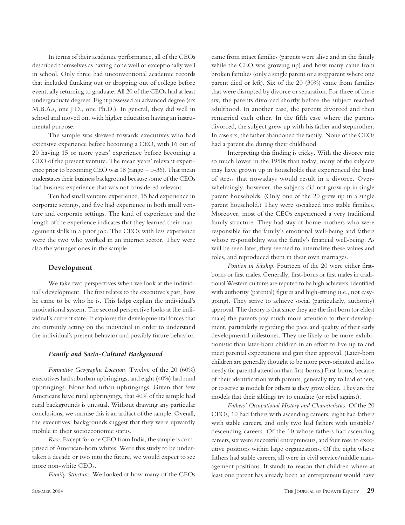In terms of their academic performance, all of the CEOs described themselves as having done well or exceptionally well in school. Only three had unconventional academic records that included flunking out or dropping out of college before eventually returning to graduate. All 20 of the CEOs had at least undergraduate degrees. Eight possessed an advanced degree (six M.B.A.s, one J.D., one Ph.D.). In general, they did well in school and moved on, with higher education having an instrumental purpose.

The sample was skewed towards executives who had extensive experience before becoming a CEO, with 16 out of 20 having 15 or more years' experience before becoming a CEO of the present venture. The mean years' relevant experience prior to becoming CEO was  $18$  (range = 0-36). That mean understates their business background because some of the CEOs had business experience that was not considered relevant.

Ten had small venture experience, 15 had experience in corporate settings, and five had experience in both small venture and corporate settings. The kind of experience and the length of the experience indicates that they learned their management skills in a prior job. The CEOs with less experience were the two who worked in an internet sector. They were also the younger ones in the sample.

#### **Development**

We take two perspectives when we look at the individual's development. The first relates to the executive's past, how he came to be who he is. This helps explain the individual's motivational system. The second perspective looks at the individual's current state. It explores the developmental forces that are currently acting on the individual in order to understand the individual's present behavior and possibly future behavior.

#### *Family and Socio-Cultural Background*

*Formative Geographic Location.* Twelve of the 20 (60%) executives had suburban upbringings, and eight (40%) had rural upbringings. None had urban upbringings. Given that few Americans have rural upbringings, that 40% of the sample had rural backgrounds is unusual. Without drawing any particular conclusions, we surmise this is an artifact of the sample. Overall, the executives' backgrounds suggest that they were upwardly mobile in their socioeconomic status.

*Race.* Except for one CEO from India, the sample is comprised of American-born whites. Were this study to be undertaken a decade or two into the future, we would expect to see more non-white CEOs.

*Family Structure.* We looked at how many of the CEOs

came from intact families (parents were alive and in the family while the CEO was growing up) and how many came from broken families (only a single parent or a stepparent where one parent died or left). Six of the 20 (30%) came from families that were disrupted by divorce or separation. For three of these six, the parents divorced shortly before the subject reached adulthood. In another case, the parents divorced and then remarried each other. In the fifth case where the parents divorced, the subject grew up with his father and stepmother. In case six, the father abandoned the family. None of the CEOs had a parent die during their childhood.

Interpreting this finding is tricky. With the divorce rate so much lower in the 1950s than today, many of the subjects may have grown up in households that experienced the kind of stress that nowadays would result in a divorce. Overwhelmingly, however, the subjects did not grow up in single parent households. (Only one of the 20 grew up in a single parent household.) They were socialized into stable families. Moreover, most of the CEOs experienced a very traditional family structure. They had stay-at-home mothers who were responsible for the family's emotional well-being and fathers whose responsibility was the family's financial well-being. As will be seen later, they seemed to internalize these values and roles, and reproduced them in their own marriages.

*Position in Sibship*. Fourteen of the 20 were either firstborns or first males. Generally, first-borns or first males in traditional Western cultures are reputed to be high achievers, identified with authority (parental) figures and high-strung (i.e., not easygoing). They strive to achieve social (particularly, authority) approval. The theory is that since they are the first born (or eldest male) the parents pay much more attention to their development, particularly regarding the pace and quality of their early developmental milestones. They are likely to be more exhibitionistic than later-born children in an effort to live up to and meet parental expectations and gain their approval. (Later-born children are generally thought to be more peer-oriented and less needy for parental attention than first-borns.) First-borns, because of their identification with parents, generally try to lead others, or to serve as models for others as they grow older. They are the models that their siblings try to emulate (or rebel against).

*Fathers' Occupational History and Characteristics*. Of the 20 CEOs, 10 had fathers with ascending careers, eight had fathers with stable careers, and only two had fathers with unstable/ descending careers. Of the 10 whose fathers had ascending careers, six were successful entrepreneurs, and four rose to executive positions within large organizations. Of the eight whose fathers had stable careers, all were in civil service/middle management positions. It stands to reason that children where at least one parent has already been an entrepreneur would have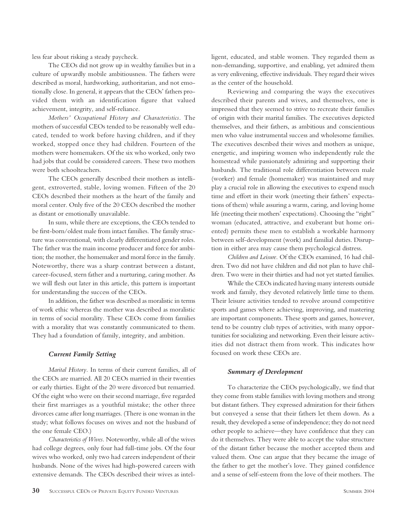less fear about risking a steady paycheck.

The CEOs did not grow up in wealthy families but in a culture of upwardly mobile ambitiousness. The fathers were described as moral, hardworking, authoritarian, and not emotionally close. In general, it appears that the CEOs' fathers provided them with an identification figure that valued achievement, integrity, and self-reliance.

*Mothers' Occupational History and Characteristics.* The mothers of successful CEOs tended to be reasonably well educated, tended to work before having children, and if they worked, stopped once they had children. Fourteen of the mothers were homemakers. Of the six who worked, only two had jobs that could be considered careers. These two mothers were both schoolteachers.

The CEOs generally described their mothers as intelligent, extroverted, stable, loving women. Fifteen of the 20 CEOs described their mothers as the heart of the family and moral center. Only five of the 20 CEOs described the mother as distant or emotionally unavailable.

In sum, while there are exceptions, the CEOs tended to be first-born/oldest male from intact families. The family structure was conventional, with clearly differentiated gender roles. The father was the main income producer and force for ambition; the mother, the homemaker and moral force in the family. Noteworthy, there was a sharp contrast between a distant, career-focused, stern father and a nurturing, caring mother. As we will flesh out later in this article, this pattern is important for understanding the success of the CEOs.

In addition, the father was described as moralistic in terms of work ethic whereas the mother was described as moralistic in terms of social morality. These CEOs come from families with a morality that was constantly communicated to them. They had a foundation of family, integrity, and ambition.

#### *Current Family Setting*

*Marital History.* In terms of their current families, all of the CEOs are married. All 20 CEOs married in their twenties or early thirties. Eight of the 20 were divorced but remarried. Of the eight who were on their second marriage, five regarded their first marriages as a youthful mistake; the other three divorces came after long marriages. (There is one woman in the study; what follows focuses on wives and not the husband of the one female CEO.)

*Characteristics of Wives.* Noteworthy, while all of the wives had college degrees, only four had full-time jobs. Of the four wives who worked, only two had careers independent of their husbands. None of the wives had high-powered careers with extensive demands. The CEOs described their wives as intelligent, educated, and stable women. They regarded them as non-demanding, supportive, and enabling, yet admired them as very enlivening, effective individuals. They regard their wives as the center of the household.

Reviewing and comparing the ways the executives described their parents and wives, and themselves, one is impressed that they seemed to strive to recreate their families of origin with their marital families. The executives depicted themselves, and their fathers, as ambitious and conscientious men who value instrumental success and wholesome families. The executives described their wives and mothers as unique, energetic, and inspiring women who independently rule the homestead while passionately admiring and supporting their husbands. The traditional role differentiation between male (worker) and female (homemaker) was maintained and may play a crucial role in allowing the executives to expend much time and effort in their work (meeting their fathers' expectations of them) while assuring a warm, caring, and loving home life (meeting their mothers' expectations). Choosing the "right" woman (educated, attractive, and exuberant but home oriented) permits these men to establish a workable harmony between self-development (work) and familial duties. Disruption in either area may cause them psychological distress.

*Children and Leisure.* Of the CEOs examined, 16 had children. Two did not have children and did not plan to have children. Two were in their thirties and had not yet started families.

While the CEOs indicated having many interests outside work and family, they devoted relatively little time to them. Their leisure activities tended to revolve around competitive sports and games where achieving, improving, and mastering are important components. These sports and games, however, tend to be country club types of activities, with many opportunities for socializing and networking. Even their leisure activities did not distract them from work. This indicates how focused on work these CEOs are.

#### *Summary of Development*

To characterize the CEOs psychologically, we find that they come from stable families with loving mothers and strong but distant fathers. They expressed admiration for their fathers but conveyed a sense that their fathers let them down. As a result, they developed a sense of independence; they do not need other people to achieve—they have confidence that they can do it themselves. They were able to accept the value structure of the distant father because the mother accepted them and valued them. One can argue that they became the image of the father to get the mother's love. They gained confidence and a sense of self-esteem from the love of their mothers. The